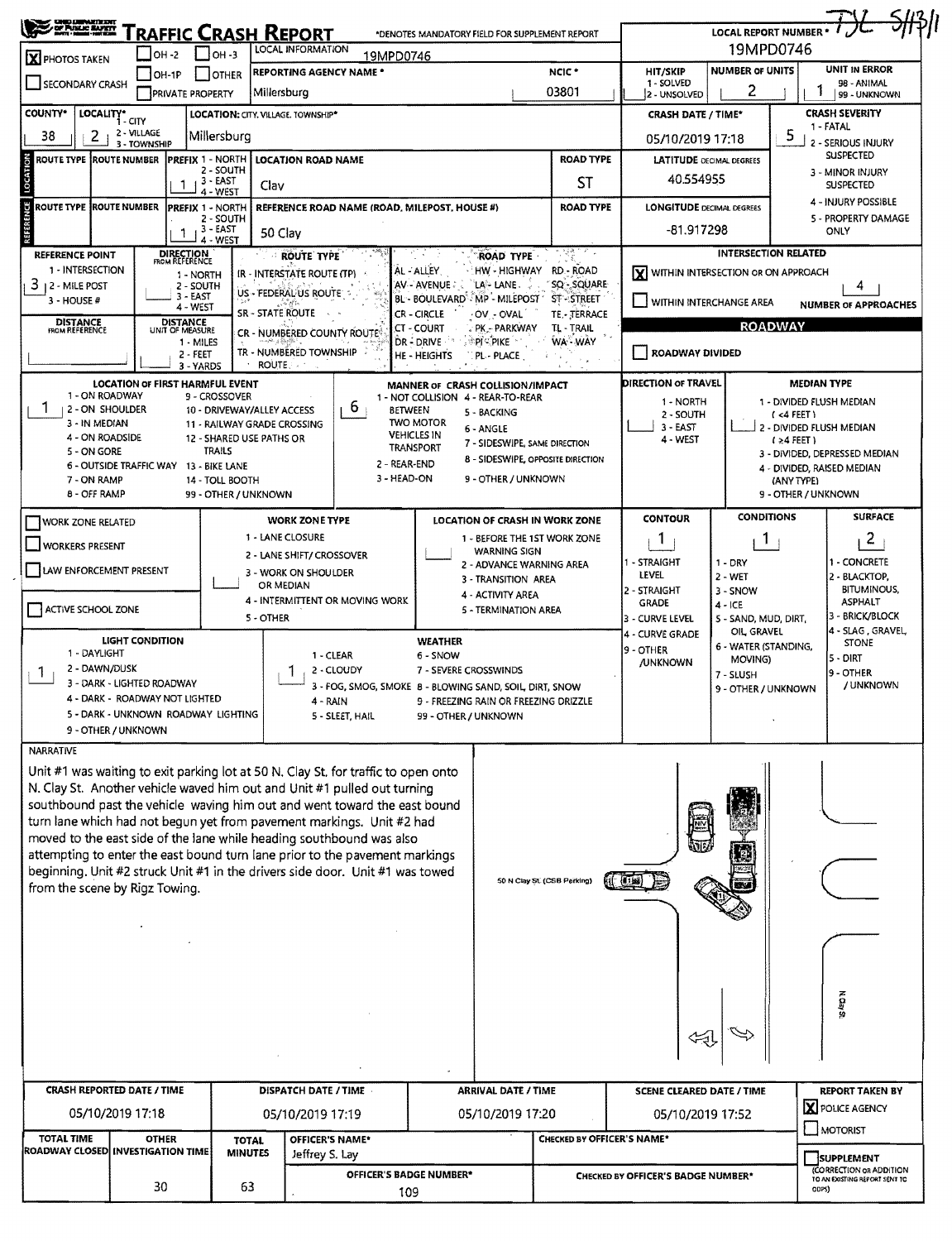| <b>CHIC LUMNATIERS!!!</b><br>/ OF PUNLIC MARITY<br>- MOTI - MARIT-HITEM                                                                               |                                        |                                                |                                         | <b><i>FRAFFIC CRASH REPORT</i></b> |                                                        | *DENOTES MANDATORY FIELD FOR SUPPLEMENT REPORT       |                                          |                                                     |                                                             | LOCAL REPORT NUMBER . 7 JL 5/13/1                               |                                              |                                              |  |  |
|-------------------------------------------------------------------------------------------------------------------------------------------------------|----------------------------------------|------------------------------------------------|-----------------------------------------|------------------------------------|--------------------------------------------------------|------------------------------------------------------|------------------------------------------|-----------------------------------------------------|-------------------------------------------------------------|-----------------------------------------------------------------|----------------------------------------------|----------------------------------------------|--|--|
| X PHOTOS TAKEN                                                                                                                                        | $IOH - 2$                              |                                                | $ OH - 3 $                              | LOCAL INFORMATION                  |                                                        | 19MPD0746                                            |                                          |                                                     |                                                             | 19MPD0746                                                       |                                              |                                              |  |  |
|                                                                                                                                                       |                                        | 1OH-1P                                         | OTHER                                   |                                    | <b>REPORTING AGENCY NAME *</b>                         |                                                      |                                          | NCIC <sup>*</sup>                                   | <b>HIT/SKIP</b>                                             | <b>NUMBER OF UNITS</b>                                          |                                              | <b>UNIT IN ERROR</b>                         |  |  |
| SECONDARY CRASH<br>03801<br>Millersburg<br><b>PRIVATE PROPERTY</b>                                                                                    |                                        |                                                |                                         |                                    |                                                        |                                                      |                                          |                                                     | 1 - SOLVED<br>2 - UNSOLVED                                  | 2                                                               |                                              | 98 - ANIMAL<br>99 - UNKNOWN                  |  |  |
| <b>COUNTY*</b><br>LOCALITY*<br>LOCATION: CITY, VILLAGE, TOWNSHIP*<br>i - CITY                                                                         |                                        |                                                |                                         |                                    |                                                        |                                                      |                                          |                                                     |                                                             | <b>CRASH SEVERITY</b><br><b>CRASH DATE / TIME*</b><br>1 - FATAL |                                              |                                              |  |  |
| 2<br>38                                                                                                                                               | 2 - VILLAGE<br>3 - TOWNSHIP            |                                                | Millersburg                             |                                    |                                                        |                                                      |                                          |                                                     | 05/10/2019 17:18                                            |                                                                 | 5                                            | - Serious Injury                             |  |  |
| LOCATION<br>PREFIX 1 - NORTH<br><b>ROAD TYPE</b><br>ROUTE TYPE  ROUTE NUMBER<br><b>LOCATION ROAD NAME</b><br>2 - SOUTH                                |                                        |                                                |                                         |                                    |                                                        |                                                      |                                          | <b>SUSPECTED</b><br><b>LATITUDE</b> DECIMAL DEGREES |                                                             |                                                                 |                                              |                                              |  |  |
|                                                                                                                                                       |                                        | 1                                              | 3 - EAST<br>4 - WEST                    | Clav                               |                                                        |                                                      |                                          | ST                                                  | 3 - MINOR INJURY<br>40.554955<br><b>SUSPECTED</b>           |                                                                 |                                              |                                              |  |  |
| ROUTE TYPE  ROUTE NUMBER                                                                                                                              |                                        | PREFIX 1 - NORTH                               |                                         |                                    |                                                        | REFERENCE ROAD NAME (ROAD, MILEPOST, HOUSE #)        |                                          | <b>LONGITUDE DECIMAL DEGREES</b>                    |                                                             |                                                                 | 4 - INJURY POSSIBLE                          |                                              |  |  |
| <b>REFERENCE</b><br>2 - SOUTH<br>3 - EAST<br>50 Clav<br>1.<br>4 - WEST                                                                                |                                        |                                                |                                         |                                    |                                                        |                                                      |                                          |                                                     | $-81.917298$                                                |                                                                 |                                              | 5 - PROPERTY DAMAGE<br>ONLY                  |  |  |
| <b>REFERENCE POINT</b>                                                                                                                                |                                        | <b>DIRECTION</b><br>FROM REFERENCE             |                                         | ROUTE TYPE                         |                                                        |                                                      | <b>ROAD TYPE</b>                         | 15명이지다                                              |                                                             | <b>INTERSECTION RELATED</b>                                     |                                              |                                              |  |  |
| 1 - INTERSECTION                                                                                                                                      |                                        | 1 - NORTH                                      |                                         | IR - INTERSTATE ROUTE (TP)         |                                                        | AL - ALLEY                                           | HW - HIGHWAY                             | RD - ROAD                                           | $\left[\bigtimes\right]$ within intersection or ON APPROACH |                                                                 |                                              |                                              |  |  |
| 3<br>12 - Mile Post<br>3 - HOUSE #                                                                                                                    |                                        | 2 - SOUTH<br>3 - EAST                          |                                         | US - FEDERAL US ROUTE              |                                                        | AV AVENUE<br>BL - BOULEVARD' - MP - MILEPOST *       | LA-LANE.                                 | SQ - SQUARE<br><b>ST-STREET</b>                     |                                                             | VITHIN INTERCHANGE AREA                                         |                                              | <b>NUMBER OF APPROACHES</b>                  |  |  |
| <b>DISTANCE</b><br>FROM REFERENCE                                                                                                                     |                                        | 4 - WEST<br><b>DISTANCE</b><br>UNIT OF MEASURE |                                         | <b>SR - STATE ROUTE</b>            |                                                        | CR - CIRCLE                                          | OV OVAL                                  | TE .- TERRACE                                       |                                                             | <b>ROADWAY</b>                                                  |                                              |                                              |  |  |
|                                                                                                                                                       |                                        | 1 - MILES                                      |                                         |                                    | CR - NUMBERED COUNTY ROUTE                             | CT - COURT<br>DR-DRIVE                               | PK - PARKWAY<br>ैPI ् PIKE               | TL - TRAIL<br>WA WAY                                |                                                             |                                                                 |                                              |                                              |  |  |
|                                                                                                                                                       |                                        | 2 - FEET<br>3 - YARDS                          |                                         | TR - NUMBERED TOWNSHIP<br>ROUTE.   |                                                        | <b>HE-HEIGHTS</b>                                    | PL - PLACE                               |                                                     | <b>ROADWAY DIVIDED</b>                                      |                                                                 |                                              |                                              |  |  |
|                                                                                                                                                       | <b>LOCATION OF FIRST HARMFUL EVENT</b> |                                                |                                         |                                    |                                                        | MANNER OF CRASH COLLISION/IMPACT                     |                                          |                                                     | <b>DIRECTION OF TRAVEL</b>                                  |                                                                 | <b>MEDIAN TYPE</b>                           |                                              |  |  |
| 1 - ON ROADWAY<br>2 - ON SHOULDER                                                                                                                     |                                        |                                                | 9 - CROSSOVER                           | 10 - DRIVEWAY/ALLEY ACCESS         | b                                                      | 1 - NOT COLLISION 4 - REAR-TO-REAR<br><b>BETWEEN</b> | 5 - BACKING                              |                                                     | 1 - NORTH                                                   |                                                                 | 1 - DIVIDED FLUSH MEDIAN<br>$(4$ FEET)       |                                              |  |  |
| 3 - IN MEDIAN                                                                                                                                         |                                        |                                                |                                         | 11 - RAILWAY GRADE CROSSING        |                                                        | <b>TWO MOTOR</b><br><b>VEHICLES IN</b>               | 6 - ANGLE                                |                                                     | 2 - SOUTH<br>$3 - EAST$                                     |                                                                 |                                              | 2 - DIVIDED FLUSH MEDIAN                     |  |  |
| 4 - ON ROADSIDE<br>5 - ON GORE                                                                                                                        |                                        |                                                | <b>TRAILS</b>                           | 12 - SHARED USE PATHS OR           |                                                        | <b>TRANSPORT</b>                                     | 7 - SIDESWIPE, SAME DIRECTION            |                                                     | 4 - WEST                                                    |                                                                 | $(24$ FEET)<br>3 - DIVIDED, DEPRESSED MEDIAN |                                              |  |  |
|                                                                                                                                                       | 6 - OUTSIDE TRAFFIC WAY 13 - BIKE LANE |                                                |                                         |                                    |                                                        | 2 - REAR-END                                         | <b>8 - SIDESWIPE, OPPOSITE DIRECTION</b> |                                                     |                                                             |                                                                 | 4 - DIVIDED, RAISED MEDIAN                   |                                              |  |  |
| 7 - ON RAMP<br>8 - OFF RAMP                                                                                                                           |                                        |                                                | 14 - TOLL BOOTH<br>99 - OTHER / UNKNOWN |                                    |                                                        | 3 - HEAD-ON                                          | 9 - OTHER / UNKNOWN                      |                                                     |                                                             |                                                                 | (ANY TYPE)<br>9 - OTHER / UNKNOWN            |                                              |  |  |
| <b>WORK ZONE RELATED</b>                                                                                                                              |                                        |                                                |                                         | <b>WORK ZONE TYPE</b>              |                                                        |                                                      | LOCATION OF CRASH IN WORK ZONE           |                                                     | <b>CONTOUR</b>                                              | <b>CONDITIONS</b>                                               |                                              | <b>SURFACE</b>                               |  |  |
|                                                                                                                                                       |                                        |                                                |                                         | 1 - LANE CLOSURE                   |                                                        |                                                      | 1 - BEFORE THE 1ST WORK ZONE             |                                                     | 1                                                           | Т.                                                              |                                              | 2                                            |  |  |
| workers present                                                                                                                                       |                                        |                                                |                                         | 2 - LANE SHIFT/ CROSSOVER          |                                                        | <b>WARNING SIGN</b><br>2 - ADVANCE WARNING AREA      | 1 - STRAIGHT                             |                                                     | 1 - CONCRETE                                                |                                                                 |                                              |                                              |  |  |
| LAW ENFORCEMENT PRESENT                                                                                                                               |                                        |                                                |                                         | 3 - WORK ON SHOULDER<br>OR MEDIAN  |                                                        | 3 - TRANSITION AREA                                  | LEVEL                                    |                                                     | 2 - BLACKTOP,<br><b>BITUMINOUS,</b><br>ASPHALT              |                                                                 |                                              |                                              |  |  |
|                                                                                                                                                       |                                        |                                                |                                         |                                    | 4 - INTERMITTENT OR MOVING WORK                        | 4 - ACTIVITY AREA                                    | 2 - STRAIGHT<br>GRADE                    |                                                     |                                                             |                                                                 |                                              |                                              |  |  |
| ACTIVE SCHOOL ZONE                                                                                                                                    |                                        |                                                |                                         | 5 - OTHER                          |                                                        |                                                      | 5 - TERMINATION AREA                     |                                                     | 3 - CURVE LEVEL                                             | 4 - ICE<br>5 - SAND, MUD, DIRT,                                 |                                              | 3 - BRICK/BLOCK                              |  |  |
|                                                                                                                                                       | <b>LIGHT CONDITION</b>                 |                                                |                                         |                                    |                                                        | <b>WEATHER</b>                                       |                                          |                                                     | 4 - CURVE GRADE<br>9 - OTHER                                | OIL GRAVEL<br>6 - WATER (STANDING,                              |                                              | 4 - SLAG, GRAVEL<br><b>STONE</b>             |  |  |
| 1 - DAYLIGHT<br>2 - DAWN/DUSK                                                                                                                         |                                        |                                                |                                         |                                    | 1 - CLEAR<br>2 - CLOUDY                                | 6 - SNOW<br>7 - SEVERE CROSSWINDS                    |                                          |                                                     | <b>/UNKNOWN</b>                                             | MOVING)                                                         |                                              | 5 - DIRT<br>9 - OTHER                        |  |  |
| 1.                                                                                                                                                    | 3 - DARK - LIGHTED ROADWAY             |                                                |                                         |                                    | 3 - FOG, SMOG, SMOKE 8 - BLOWING SAND, SOIL DIRT, SNOW |                                                      | 7 - SLUSH<br>9 - OTHER / UNKNOWN         |                                                     | / UNKNOWN                                                   |                                                                 |                                              |                                              |  |  |
| 4 - DARK - ROADWAY NOT LIGHTED<br>9 - FREEZING RAIN OR FREEZING DRIZZLE<br>4 - RAIN<br>5 - DARK - UNKNOWN ROADWAY LIGHTING<br>99 - OTHER / UNKNOWN    |                                        |                                                |                                         |                                    |                                                        |                                                      |                                          |                                                     |                                                             |                                                                 |                                              |                                              |  |  |
|                                                                                                                                                       | 9 - OTHER / UNKNOWN                    |                                                |                                         |                                    | 5 - SLEET, HAIL                                        |                                                      |                                          |                                                     |                                                             |                                                                 |                                              |                                              |  |  |
| <b>NARRATIVE</b>                                                                                                                                      |                                        |                                                |                                         |                                    |                                                        |                                                      |                                          |                                                     |                                                             |                                                                 |                                              |                                              |  |  |
| Unit #1 was waiting to exit parking lot at 50 N. Clay St, for traffic to open onto                                                                    |                                        |                                                |                                         |                                    |                                                        |                                                      |                                          |                                                     |                                                             |                                                                 |                                              |                                              |  |  |
| N. Clay St. Another vehicle waved him out and Unit #1 pulled out turning<br>southbound past the vehicle waving him out and went toward the east bound |                                        |                                                |                                         |                                    |                                                        |                                                      |                                          |                                                     |                                                             |                                                                 |                                              |                                              |  |  |
| turn lane which had not begun yet from pavement markings. Unit #2 had                                                                                 |                                        |                                                |                                         |                                    |                                                        |                                                      |                                          |                                                     |                                                             |                                                                 |                                              |                                              |  |  |
| moved to the east side of the lane while heading southbound was also                                                                                  |                                        |                                                |                                         |                                    |                                                        |                                                      |                                          |                                                     |                                                             |                                                                 |                                              |                                              |  |  |
| attempting to enter the east bound turn lane prior to the pavement markings                                                                           |                                        |                                                |                                         |                                    |                                                        |                                                      |                                          |                                                     |                                                             |                                                                 |                                              |                                              |  |  |
| beginning. Unit #2 struck Unit #1 in the drivers side door. Unit #1 was towed<br>from the scene by Rigz Towing.                                       |                                        |                                                |                                         |                                    |                                                        |                                                      |                                          | 50 N Clay SL (CSB Parking)                          |                                                             |                                                                 |                                              |                                              |  |  |
|                                                                                                                                                       |                                        |                                                |                                         |                                    |                                                        |                                                      |                                          |                                                     |                                                             |                                                                 |                                              |                                              |  |  |
|                                                                                                                                                       |                                        |                                                |                                         |                                    |                                                        |                                                      |                                          |                                                     |                                                             |                                                                 |                                              |                                              |  |  |
|                                                                                                                                                       |                                        |                                                |                                         |                                    |                                                        |                                                      |                                          |                                                     |                                                             |                                                                 |                                              |                                              |  |  |
|                                                                                                                                                       |                                        |                                                |                                         |                                    |                                                        |                                                      |                                          |                                                     |                                                             |                                                                 |                                              |                                              |  |  |
|                                                                                                                                                       |                                        |                                                |                                         |                                    |                                                        |                                                      |                                          |                                                     |                                                             |                                                                 |                                              |                                              |  |  |
|                                                                                                                                                       |                                        |                                                |                                         |                                    |                                                        |                                                      |                                          |                                                     |                                                             |                                                                 |                                              | <b>N Clay SL</b>                             |  |  |
|                                                                                                                                                       |                                        |                                                |                                         |                                    |                                                        |                                                      |                                          |                                                     |                                                             |                                                                 |                                              |                                              |  |  |
|                                                                                                                                                       |                                        |                                                |                                         |                                    |                                                        |                                                      |                                          |                                                     |                                                             |                                                                 |                                              |                                              |  |  |
|                                                                                                                                                       |                                        |                                                |                                         |                                    |                                                        |                                                      |                                          |                                                     |                                                             |                                                                 |                                              |                                              |  |  |
| CRASH REPORTED DATE / TIME                                                                                                                            |                                        |                                                |                                         | DISPATCH DATE / TIME -             |                                                        |                                                      | <b>ARRIVAL DATE / TIME</b>               |                                                     | <b>SCENE CLEARED DATE / TIME</b>                            | <b>REPORT TAKEN BY</b><br>X POLICE AGENCY                       |                                              |                                              |  |  |
|                                                                                                                                                       | 05/10/2019 17:18                       |                                                |                                         | 05/10/2019 17:19                   |                                                        |                                                      | 05/10/2019 17:20                         |                                                     | 05/10/2019 17:52                                            |                                                                 |                                              |                                              |  |  |
| <b>TOTAL TIME</b>                                                                                                                                     | <b>OTHER</b>                           |                                                | <b>TOTAL</b>                            |                                    | OFFICER'S NAME*                                        |                                                      |                                          | CHECKED BY OFFICER'S NAME*                          |                                                             |                                                                 | MOTORIST                                     |                                              |  |  |
| ROADWAY CLOSED INVESTIGATION TIME                                                                                                                     |                                        |                                                | <b>MINUTES</b>                          |                                    | Jeffrey S. Lay                                         |                                                      |                                          |                                                     |                                                             |                                                                 |                                              | <b>SUPPLEMENT</b><br>(CORRECTION OR ADDITION |  |  |
|                                                                                                                                                       | 30                                     |                                                | 63                                      |                                    |                                                        | OFFICER'S BADGE NUMBER*                              |                                          |                                                     | CHECKED BY OFFICER'S BADGE NUMBER*                          |                                                                 |                                              | TO AN EXISTING REPORT SENT TO                |  |  |
| 109                                                                                                                                                   |                                        |                                                |                                         |                                    |                                                        |                                                      |                                          |                                                     |                                                             |                                                                 | CDPS)                                        |                                              |  |  |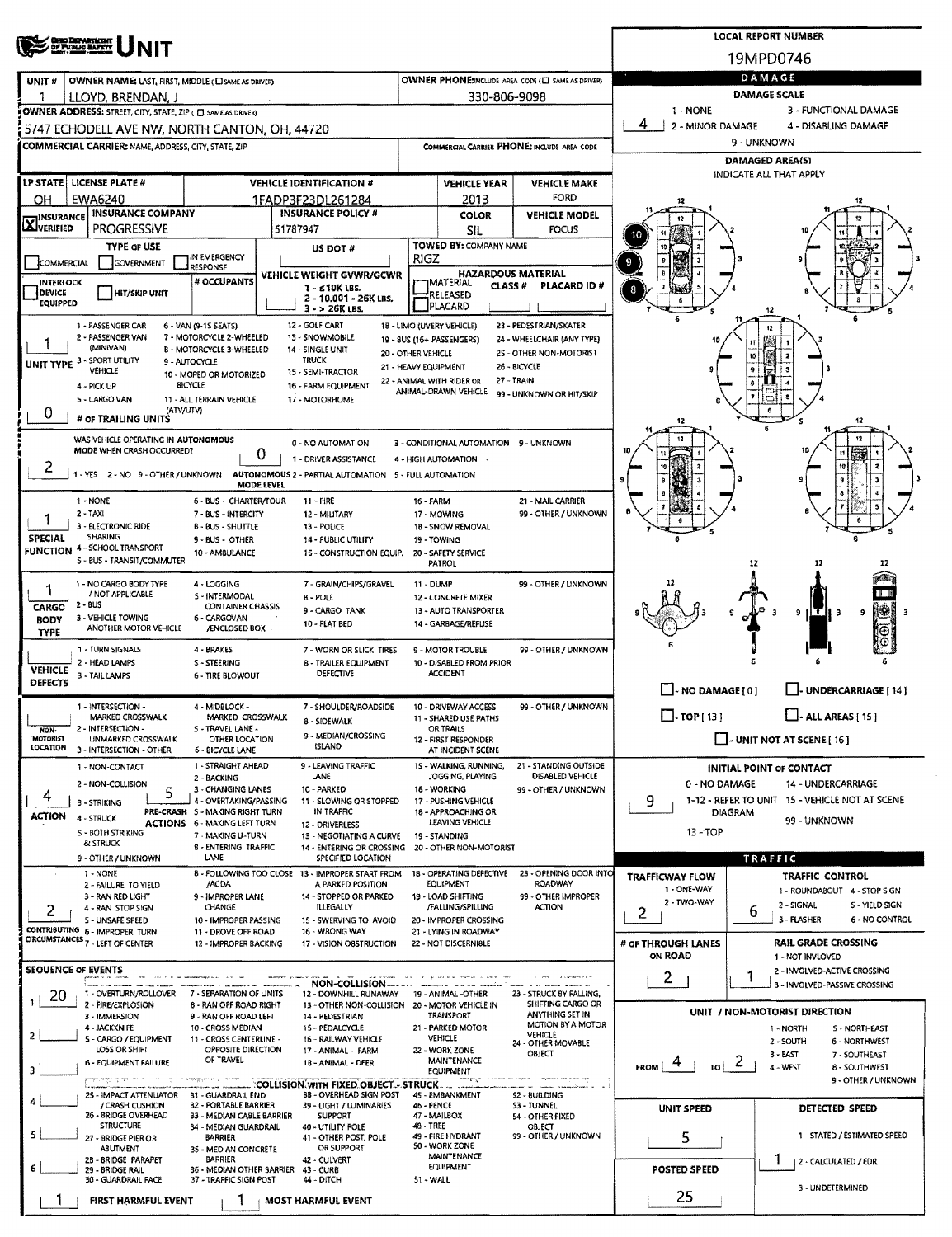| <b>OHD DEPARTMENT</b><br>OF PUBLIC BAPRY<br>19MPD0746<br>DAMAGE<br>OWNER PHONE:INCLUDE AREA CODE (E) SAME AS DRIVER)<br>OWNER NAME: LAST, FIRST, MIDDLE (C) SAME AS DRIVER)<br>UNIT#<br>DAMAGE SCALE<br>330-806-9098<br>-1<br>LLOYD, BRENDAN, J<br>3 - FUNCTIONAL DAMAGE<br>1 - NONE<br>OWNER ADDRESS: STREET, CITY, STATE, ZIP ( C) SAME AS DRIVER)<br>4<br>2 - MINOR DAMAGE<br>4 - DISABLING DAMAGE<br>5747 ECHODELL AVE NW, NORTH CANTON, OH, 44720<br>9 - UNKNOWN<br><b>COMMERCIAL CARRIER: NAME, ADDRESS, CITY, STATE, ZIP</b><br>COMMERCIAL CARRIER PHONE: INCLUDE AREA CODE<br><b>DAMAGED AREA(S)</b><br>INDICATE ALL THAT APPLY<br>LP STATE LICENSE PLATE #<br><b>VEHICLE IDENTIFICATION #</b><br><b>VEHICLE YEAR</b><br><b>VEHICLE MAKE</b><br>FORD<br>EWA6240<br>ОН<br>1FADP3F23DL261284<br>2013<br><b>INSURANCE COMPANY</b><br><b>INSURANCE POLICY #</b><br><b>VEHICLE MODEL</b><br>COLOR<br><b>INSURANCE</b><br><b>X</b> VERIFIED<br><b>PROGRESSIVE</b><br>51787947<br>SIL<br><b>FOCUS</b><br>10<br>TOWED BY: COMPANY NAME<br>TYPE OF USE<br>10<br>US DOT #<br>IN EMERGENCY<br>RIGZ<br>COMMERCIAL<br>GOVERNMENT<br>RESPONSE<br><b>HAZARDOUS MATERIAL</b><br>$\mathbf{B}$<br>VEHICLE WEIGHT GVWR/GCWR<br># OCCUPANTS<br><b>INTERLOCK</b><br><b>JMATERIAL</b><br><b>CLASS#</b><br>PLACARD ID#<br>$1 - 510K$ LBS.<br>8<br>DEVICE<br><b>HIT/SKIP UNIT</b><br>RELEASED<br>2 - 10.001 - 26K LBS.<br>EQUIPPED<br>PLACARD<br>$3 - 26K$ LBS.<br>12 - GOLF CART<br>18 - LIMO (UVERY VEHICLE)<br>23 - PEDESTRIAN/SKATER<br>1 - PASSENGER CAR<br>6 - VAN (9-15 SEATS)<br>2 - PASSENGER VAN<br>7 - MOTORCYCLE 2-WHEELED<br>13 - SNOWMOBILE<br>24 - WHEELCHAIR (ANY TYPE)<br>19 - 8US (16+ PASSENGERS)<br>(MINIVAN)<br>B - MOTORCYCLE 3-WHEELED<br>14 - SINGLE UNIT<br>2S - OTHER NON-MOTORIST<br>20 - OTHER VEHICLE<br>10<br>UNIT TYPE 3 - SPORT UTILITY<br><b>TRUCK</b><br>9 - AUTOCYCLE<br>26 - BICYCLE<br>21 - HEAVY EQUIPMENT<br>$\pmb{9}$<br><b>VEHICLE</b><br>15 - SEMI-TRACTOR<br>10 - MOPED OR MOTORIZED<br>27 - TRAIN<br>22 - ANIMAL WITH RIDER OR<br>8<br><b>BICYCLE</b><br>16 - FARM EQUIPMENT<br>4 - PICK UP<br>ANIMAL DRAWN VEHICLE<br>99 - UNKNOWN OR HIT/SKIP<br>y.<br>5 - CARGO VAN<br>11 - ALL TERRAIN VEHICLE<br>17 - MOTORHOME<br>(ATV/UTV)<br>0<br># OF TRAILING UNITS<br>12<br>12<br>WAS VEHICLE OPERATING IN AUTONOMOUS<br>12<br>0 - NO AUTOMATION<br>3 - CONDITIONAL AUTOMATION 9 - UNKNOWN<br>MODE WHEN CRASH OCCURRED?<br>0<br>1 - DRIVER ASSISTANCE<br>4 - HIGH AUTOMATION<br>1 - YES 2 - NO 9 - OTHER / UNKNOWN AUTONOMOUS 2 - PARTIAL AUTOMATION 5 - FULL AUTOMATION<br>MODE LEVEL<br>$1 - NONE$<br>6 - BUS - CHARTER/TOUR<br>$11 -$ FIRE<br>21 - MAIL CARRIER<br>16 - FARM<br>2 - TAXI<br>7 - BUS - INTERCITY<br>17 - MOWING<br>99 - OTHER / UNKNOWN<br>12 - MILITARY<br>3 - ELECTRONIC RIDE<br><b>B-BUS-SHUTTLE</b><br>13 - POLICE<br>18 - SNOW REMOVAL<br>SHARING<br><b>SPECIAL</b><br>9 - BUS - OTHER<br>14 - PUBLIC UTILITY<br>19 - TOWING<br><b>FUNCTION 4 - SCHOOL TRANSPORT</b><br>10 - AMBULANCE<br>15 - CONSTRUCTION EQUIP,<br>20 - SAFETY SERVICE<br>5 - BUS - TRANSIT/COMMUTER<br>PATROL<br>12<br>12<br>1 - NO CARGO BODY TYPE<br>4 - LOGGING<br>7 - GRAIN/CHIPS/GRAVEL<br>99 - OTHER / LINKNOWN<br>11 - DUMP<br>1<br>/ NOT APPLICABLE<br>S - INTERMODAL<br><b>B</b> POLE<br>12 - CONCRETE MIXER<br>2 - BUS<br>CARGO<br><b>CONTAINER CHASSIS</b><br>⊯∰<br>9 - CARGO TANK<br>13 - AUTO TRANSPORTER<br>-3<br>9<br>9<br>з<br>3 - VEHICLE TOWING<br>6 - CARGOVAN<br><b>BODY</b><br>10 - FLAT BED<br>14 - GARBAGE/REFLISE<br>ANOTHER MOTOR VEHICLE<br><b>/ENCLOSED BOX</b><br><b>TYPE</b><br>1 - TURN SIGNALS<br>4 - BRAKES<br>7 - WORN OR SLICK TIRES<br>9 - MOTOR TROUBLE<br>99 - OTHER / UNKNOWN<br>2 - HEAD LAMPS<br>S - STEERING<br>10 - DISABLED FROM PRIOR<br><b>8 - TRAILER EQUIPMENT</b><br><b>VEHICLE</b><br><b>DEFECTIVE</b><br><b>ACCIDENT</b><br>3 - TAIL LAMPS<br><b>6 - TIRE BLOWOUT</b><br><b>DEFECTS</b><br>$\Box$ - NO DAMAGE [ 0 ]<br>UNDERCARRIAGE [ 14 ]<br>1 - INTERSECTION -<br>4 - MIDBLOCK -<br>7 - SHOULDER/ROADSIDE<br>10 - DRIVEWAY ACCESS<br>99 - OTHER / UNKNOWN<br>$\Box$ - ALL AREAS [ 15 ]<br>$\Box$ -TOP [ 13 ]<br>MARKED CROSSWALK<br>MARKED CROSSWALK<br>11 - SHARED USE PATHS<br>8 - SIDEWALK<br>2 - INTERSECTION -<br>S - TRAVEL LANE -<br>OR TRAILS<br>NON-<br>9 - MEDIAN/CROSSING<br>$\Box$ - UNIT NOT AT SCENE [ 16 ]<br>MOTORIST<br>UNMARKED CROSSWALK<br>OTHER LOCATION<br>12 - FIRST RESPONDER<br>ISLAND<br>LOCATION<br>3 - INTERSECTION - OTHER<br><b>6 - BICYCLE LANE</b><br>AT INCIDENT SCENE<br>1 - STRAIGHT AHEAD<br>9 - LEAVING TRAFFIC<br>15 - WALKING, RUNNING,<br>21 - STANDING OUTSIDE<br>1 - NON-CONTACT<br>INITIAL POINT OF CONTACT<br>LANE<br>JOGGING, PLAYING<br>DISABLED VEHICLE<br>2 - BACKING<br>0 - NO DAMAGE<br>2 - NON-COLLISION<br>14 - UNDERCARRIAGE<br>3 - CHANGING LANES<br>10 - PARKED<br>16 - WORKING<br>99 - OTHER / UNKNOWN<br>5<br>4<br>9<br>1-12 - REFER TO UNIT 15 - VEHICLE NOT AT SCENE<br>4 - OVERTAKING/PASSING<br>11 - SLOWING OR STOPPED<br>17 - PUSHING VEHICLE<br>3 - STRIKING<br>IN TRAFFIC<br>PRE-CRASH 5 - MAKING RIGHT TURN<br>18 - APPROACHING OR<br>DIAGRAM<br><b>ACTION</b><br>4 - STRUCK<br>99 - UNKNOWN<br>LEAVING VEHICLE<br><b>ACTIONS 6 - MAKING LEFT TURN</b><br>12 - DRIVERLESS<br>13 - TOP<br>S - BOTH STRIKING<br>7 - MAKING U-TURN<br>13 - NEGOTIATING A CURVE<br>19 - STANDING<br><b>&amp; STRUCK</b><br><b>B - ENTERING TRAFFIC</b><br>14 - ENTERING OR CROSSING 20 - OTHER NON-MOTORIST<br>LANE<br>TRAFFIC<br>9 - OTHER / UNKNOWN<br>SPECIFIED LOCATION<br>B - FOLLOWING TOO CLOSE 13 - IMPROPER START FROM<br>18 - OPERATING DEFECTIVE<br>23 - OPENING DOOR INTO<br>1 - NONE<br><b>TRAFFIC CONTROL</b><br><b>TRAFFICWAY FLOW</b><br>EQUIPMENT<br>ROADWAY<br>/ACDA<br>A PARKED POSITION<br>2 - FAILURE TO YIELD<br>1 - ONE-WAY<br>1 - ROUNDABOUT 4 - STOP SIGN<br>3 - RAN RED LIGHT<br>9 - IMPROPER LANE<br>14 - STOPPED OR PARKED<br>19 - LOAD SHIFTING<br>99 - OTHER IMPROPER<br>2 - TWO-WAY<br>2 - SIGNAL<br>5 - YIELD SIGN<br>CHANGE<br><b>ILLEGALLY</b><br>/FALLING/SPILLING<br><b>ACTION</b><br>4 - RAN STOP SIGN<br>2<br>6<br>2<br>3 - FLASHER<br>6 - NO CONTROL<br>S - UNSAFE SPEED<br>10 - IMPROPER PASSING<br>15 - SWERVING TO AVOID<br>20 - IMPROPER CROSSING<br>CONTRIBUTING 6 - IMPROPER TURN<br>11 - DROVE OFF ROAD<br>16 - WRONG WAY<br>21 - LYING IN ROADWAY<br><b>CIRCUMSTANCES 7 - LEFT OF CENTER</b><br># OF THROUGH LANES<br><b>RAIL GRADE CROSSING</b><br>12 - IMPROPER BACKING<br>22 - NOT DISCERNIBLE<br>17 - VISION OBSTRUCTION<br>ON ROAD<br>1 - NOT INVLOVED<br>SEQUENCE OF EVENTS<br>2 - INVOLVED-ACTIVE CROSSING<br>2<br>1<br>NON-COLLISION<br>3 - INVOLVED-PASSIVE CROSSING<br>1 - OVERTURN/ROLLOVER<br>20<br>7 - SEPARATION OF UNITS<br>12 - DOWNHILL RUNAWAY<br>19 - ANIMAL -OTHER<br>23 - STRUCK BY FALLING,<br>1.<br>SHIFTING CARGO OR<br>2 - FIRE/EXPLOSION<br>8 - RAN OFF ROAD RIGHT<br>13 - OTHER NON-COLLISION 20 - MOTOR VEHICLE IN<br>UNIT / NON-MOTORIST DIRECTION<br>ANYTHING SET IN<br>TRANSPORT<br>3 - IMMERSION<br>9 - RAN OFF ROAD LEFT<br>14 - PEDESTRIAN<br>MOTION BY A MOTOR<br>4 - JACKKNIFE<br>10 - CROSS MEDIAN<br>15 - PEDALCYCLE<br>21 - PARKED MOTOR<br>S - NORTHEAST<br>1 - NORTH<br>VEHICLE<br>$\mathbf{2}$<br>VEHICLE<br>5 - CARGO / EQUIPMENT<br>11 - CROSS CENTERLINE -<br>16 - RAILWAY VEHICLE<br>2 - SOUTH<br>6 - NORTHWEST<br>24 - OTHER MOVABLE<br>LOSS OR SHIFT<br>OPPOSITE DIRECTION<br>17 - ANIMAL - FARM<br>22 - WORK ZONE<br>OBJECT<br>3 - EAST<br>7 - SOUTHEAST<br>OF TRAVEL<br>MAINTENANCE<br>$\epsilon$<br>6 - EQUIPMENT FAILURE<br>18 - ANIMAL - DEER<br>4 - WEST<br><b>FROM</b><br>то і<br><b>8 - SOUTHWEST</b><br>з<br><b>EQUIPMENT</b><br>provinge gives an information and consequence of movies<br>9 - OTHER / UNKNOWN<br>menge <sub>s</sub> e<br>COLLISION WITH FIXED OBJECT - STRUCK<br>38 - OVERHEAD SIGN POST<br>45 - EMBANKMENT<br>25 - IMPACT ATTENUATOR 31 - GUARDRAIL END<br>52 - BUILDING<br>4<br>/ CRASH CUSHION<br>32 - PORTABLE BARRIER<br>39 - LIGHT / LUMINARIES<br>46 - FENCE<br>S3 - TUNNEL<br>DETECTED SPEED<br><b>UNIT SPEED</b><br>26 - BRIDGE OVERHEAD<br>47 - MAILBOX<br>33 - MEDIAN CABLE BARRIER<br><b>SUPPORT</b><br>54 - OTHER FIXED<br><b>STRUCTURE</b><br>48 - TREE<br>34 - MEDIAN GUARDRAIL<br>40 - UTILITY POLE<br><b>OBJECT</b><br>5<br>5<br>49 - FIRE HYDRANT<br>99 - OTHER / UNKNOWN<br>1 - STATED / ESTIMATED SPEED<br><b>BARRIER</b><br>41 - OTHER POST, POLE<br>27 - BRIDGE PIER OR<br>50 - WORK ZONE<br>OR SUPPORT<br>ABUTMENT<br>35 - MEDIAN CONCRETE<br><b>MAINTENANCE</b><br><b>BARRIER</b><br>42 - CULVERT<br>2B - BRIDGE PARAPET<br>  2 - CALCULATED / EDR<br>EQUIPMENT<br>б<br>POSTED SPEED<br>36 - MEDIAN OTHER BARRIER<br>29 - BRIDGE RAIL<br>43 - CURB<br>30 - GUARDRAIL FACE<br>37 - TRAFFIC SIGN POST<br>44 - DITCH<br>51 - WALL<br>3 - UNDETERMINED<br>25<br><b>FIRST HARMFUL EVENT</b><br>1<br><b>MOST HARMFUL EVENT</b> |  |            |  | <b>LOCAL REPORT NUMBER</b> |  |  |  |  |  |  |  |  |  |  |
|-------------------------------------------------------------------------------------------------------------------------------------------------------------------------------------------------------------------------------------------------------------------------------------------------------------------------------------------------------------------------------------------------------------------------------------------------------------------------------------------------------------------------------------------------------------------------------------------------------------------------------------------------------------------------------------------------------------------------------------------------------------------------------------------------------------------------------------------------------------------------------------------------------------------------------------------------------------------------------------------------------------------------------------------------------------------------------------------------------------------------------------------------------------------------------------------------------------------------------------------------------------------------------------------------------------------------------------------------------------------------------------------------------------------------------------------------------------------------------------------------------------------------------------------------------------------------------------------------------------------------------------------------------------------------------------------------------------------------------------------------------------------------------------------------------------------------------------------------------------------------------------------------------------------------------------------------------------------------------------------------------------------------------------------------------------------------------------------------------------------------------------------------------------------------------------------------------------------------------------------------------------------------------------------------------------------------------------------------------------------------------------------------------------------------------------------------------------------------------------------------------------------------------------------------------------------------------------------------------------------------------------------------------------------------------------------------------------------------------------------------------------------------------------------------------------------------------------------------------------------------------------------------------------------------------------------------------------------------------------------------------------------------------------------------------------------------------------------------------------------------------------------------------------------------------------------------------------------------------------------------------------------------------------------------------------------------------------------------------------------------------------------------------------------------------------------------------------------------------------------------------------------------------------------------------------------------------------------------------------------------------------------------------------------------------------------------------------------------------------------------------------------------------------------------------------------------------------------------------------------------------------------------------------------------------------------------------------------------------------------------------------------------------------------------------------------------------------------------------------------------------------------------------------------------------------------------------------------------------------------------------------------------------------------------------------------------------------------------------------------------------------------------------------------------------------------------------------------------------------------------------------------------------------------------------------------------------------------------------------------------------------------------------------------------------------------------------------------------------------------------------------------------------------------------------------------------------------------------------------------------------------------------------------------------------------------------------------------------------------------------------------------------------------------------------------------------------------------------------------------------------------------------------------------------------------------------------------------------------------------------------------------------------------------------------------------------------------------------------------------------------------------------------------------------------------------------------------------------------------------------------------------------------------------------------------------------------------------------------------------------------------------------------------------------------------------------------------------------------------------------------------------------------------------------------------------------------------------------------------------------------------------------------------------------------------------------------------------------------------------------------------------------------------------------------------------------------------------------------------------------------------------------------------------------------------------------------------------------------------------------------------------------------------------------------------------------------------------------------------------------------------------------------------------------------------------------------------------------------------------------------------------------------------------------------------------------------------------------------------------------------------------------------------------------------------------------------------------------------------------------------------------------------------------------------------------------------------------------------------------------------------------------------------------------------------------------------------------------------------------------------------------------------------------------------------------------------------------------------------------------------------------------------------------------------------------------------------------------------------------------------------------------------------------------------------------------------------------------------------------------------------------------------------------------------------------------------------------------------------------------------------------------------------------------------------------------------------------------------------------------------------------------------------------------------------------------------------------------------------------------------------------------------------------------------------------------------------------------------------------------------------------------------------------------------------------------------------------------------------------------------------------------------------------------------------------------------------------------------------------------------------------------------------------------------------------------------------------------------------------------------------------------------------------------------------------------------------------------------------------------------------------------------------------------------------------------------------------------------------------------------------------------------------------------------------------------------------------------------------------------------------------------------------------------------------------------------------------------------------------------------------------------------------------------------------------------------------------------------------------------------------------------------------------------------------------------------------------------------------------------|--|------------|--|----------------------------|--|--|--|--|--|--|--|--|--|--|
|                                                                                                                                                                                                                                                                                                                                                                                                                                                                                                                                                                                                                                                                                                                                                                                                                                                                                                                                                                                                                                                                                                                                                                                                                                                                                                                                                                                                                                                                                                                                                                                                                                                                                                                                                                                                                                                                                                                                                                                                                                                                                                                                                                                                                                                                                                                                                                                                                                                                                                                                                                                                                                                                                                                                                                                                                                                                                                                                                                                                                                                                                                                                                                                                                                                                                                                                                                                                                                                                                                                                                                                                                                                                                                                                                                                                                                                                                                                                                                                                                                                                                                                                                                                                                                                                                                                                                                                                                                                                                                                                                                                                                                                                                                                                                                                                                                                                                                                                                                                                                                                                                                                                                                                                                                                                                                                                                                                                                                                                                                                                                                                                                                                                                                                                                                                                                                                                                                                                                                                                                                                                                                                                                                                                                                                                                                                                                                                                                                                                                                                                                                                                                                                                                                                                                                                                                                                                                                                                                                                                                                                                                                                                                                                                                                                                                                                                                                                                                                                                                                                                                                                                                                                                                                                                                                                                                                                                                                                                                                                                                                                                                                                                                                                                                                                                                                                                                                                                                                                                                                                                                                                                                                                                                                                                                                                                                                                                                                                                                                                                 |  | <b>NIT</b> |  |                            |  |  |  |  |  |  |  |  |  |  |
|                                                                                                                                                                                                                                                                                                                                                                                                                                                                                                                                                                                                                                                                                                                                                                                                                                                                                                                                                                                                                                                                                                                                                                                                                                                                                                                                                                                                                                                                                                                                                                                                                                                                                                                                                                                                                                                                                                                                                                                                                                                                                                                                                                                                                                                                                                                                                                                                                                                                                                                                                                                                                                                                                                                                                                                                                                                                                                                                                                                                                                                                                                                                                                                                                                                                                                                                                                                                                                                                                                                                                                                                                                                                                                                                                                                                                                                                                                                                                                                                                                                                                                                                                                                                                                                                                                                                                                                                                                                                                                                                                                                                                                                                                                                                                                                                                                                                                                                                                                                                                                                                                                                                                                                                                                                                                                                                                                                                                                                                                                                                                                                                                                                                                                                                                                                                                                                                                                                                                                                                                                                                                                                                                                                                                                                                                                                                                                                                                                                                                                                                                                                                                                                                                                                                                                                                                                                                                                                                                                                                                                                                                                                                                                                                                                                                                                                                                                                                                                                                                                                                                                                                                                                                                                                                                                                                                                                                                                                                                                                                                                                                                                                                                                                                                                                                                                                                                                                                                                                                                                                                                                                                                                                                                                                                                                                                                                                                                                                                                                                                 |  |            |  |                            |  |  |  |  |  |  |  |  |  |  |
|                                                                                                                                                                                                                                                                                                                                                                                                                                                                                                                                                                                                                                                                                                                                                                                                                                                                                                                                                                                                                                                                                                                                                                                                                                                                                                                                                                                                                                                                                                                                                                                                                                                                                                                                                                                                                                                                                                                                                                                                                                                                                                                                                                                                                                                                                                                                                                                                                                                                                                                                                                                                                                                                                                                                                                                                                                                                                                                                                                                                                                                                                                                                                                                                                                                                                                                                                                                                                                                                                                                                                                                                                                                                                                                                                                                                                                                                                                                                                                                                                                                                                                                                                                                                                                                                                                                                                                                                                                                                                                                                                                                                                                                                                                                                                                                                                                                                                                                                                                                                                                                                                                                                                                                                                                                                                                                                                                                                                                                                                                                                                                                                                                                                                                                                                                                                                                                                                                                                                                                                                                                                                                                                                                                                                                                                                                                                                                                                                                                                                                                                                                                                                                                                                                                                                                                                                                                                                                                                                                                                                                                                                                                                                                                                                                                                                                                                                                                                                                                                                                                                                                                                                                                                                                                                                                                                                                                                                                                                                                                                                                                                                                                                                                                                                                                                                                                                                                                                                                                                                                                                                                                                                                                                                                                                                                                                                                                                                                                                                                                                 |  |            |  |                            |  |  |  |  |  |  |  |  |  |  |
|                                                                                                                                                                                                                                                                                                                                                                                                                                                                                                                                                                                                                                                                                                                                                                                                                                                                                                                                                                                                                                                                                                                                                                                                                                                                                                                                                                                                                                                                                                                                                                                                                                                                                                                                                                                                                                                                                                                                                                                                                                                                                                                                                                                                                                                                                                                                                                                                                                                                                                                                                                                                                                                                                                                                                                                                                                                                                                                                                                                                                                                                                                                                                                                                                                                                                                                                                                                                                                                                                                                                                                                                                                                                                                                                                                                                                                                                                                                                                                                                                                                                                                                                                                                                                                                                                                                                                                                                                                                                                                                                                                                                                                                                                                                                                                                                                                                                                                                                                                                                                                                                                                                                                                                                                                                                                                                                                                                                                                                                                                                                                                                                                                                                                                                                                                                                                                                                                                                                                                                                                                                                                                                                                                                                                                                                                                                                                                                                                                                                                                                                                                                                                                                                                                                                                                                                                                                                                                                                                                                                                                                                                                                                                                                                                                                                                                                                                                                                                                                                                                                                                                                                                                                                                                                                                                                                                                                                                                                                                                                                                                                                                                                                                                                                                                                                                                                                                                                                                                                                                                                                                                                                                                                                                                                                                                                                                                                                                                                                                                                                 |  |            |  |                            |  |  |  |  |  |  |  |  |  |  |
|                                                                                                                                                                                                                                                                                                                                                                                                                                                                                                                                                                                                                                                                                                                                                                                                                                                                                                                                                                                                                                                                                                                                                                                                                                                                                                                                                                                                                                                                                                                                                                                                                                                                                                                                                                                                                                                                                                                                                                                                                                                                                                                                                                                                                                                                                                                                                                                                                                                                                                                                                                                                                                                                                                                                                                                                                                                                                                                                                                                                                                                                                                                                                                                                                                                                                                                                                                                                                                                                                                                                                                                                                                                                                                                                                                                                                                                                                                                                                                                                                                                                                                                                                                                                                                                                                                                                                                                                                                                                                                                                                                                                                                                                                                                                                                                                                                                                                                                                                                                                                                                                                                                                                                                                                                                                                                                                                                                                                                                                                                                                                                                                                                                                                                                                                                                                                                                                                                                                                                                                                                                                                                                                                                                                                                                                                                                                                                                                                                                                                                                                                                                                                                                                                                                                                                                                                                                                                                                                                                                                                                                                                                                                                                                                                                                                                                                                                                                                                                                                                                                                                                                                                                                                                                                                                                                                                                                                                                                                                                                                                                                                                                                                                                                                                                                                                                                                                                                                                                                                                                                                                                                                                                                                                                                                                                                                                                                                                                                                                                                                 |  |            |  |                            |  |  |  |  |  |  |  |  |  |  |
|                                                                                                                                                                                                                                                                                                                                                                                                                                                                                                                                                                                                                                                                                                                                                                                                                                                                                                                                                                                                                                                                                                                                                                                                                                                                                                                                                                                                                                                                                                                                                                                                                                                                                                                                                                                                                                                                                                                                                                                                                                                                                                                                                                                                                                                                                                                                                                                                                                                                                                                                                                                                                                                                                                                                                                                                                                                                                                                                                                                                                                                                                                                                                                                                                                                                                                                                                                                                                                                                                                                                                                                                                                                                                                                                                                                                                                                                                                                                                                                                                                                                                                                                                                                                                                                                                                                                                                                                                                                                                                                                                                                                                                                                                                                                                                                                                                                                                                                                                                                                                                                                                                                                                                                                                                                                                                                                                                                                                                                                                                                                                                                                                                                                                                                                                                                                                                                                                                                                                                                                                                                                                                                                                                                                                                                                                                                                                                                                                                                                                                                                                                                                                                                                                                                                                                                                                                                                                                                                                                                                                                                                                                                                                                                                                                                                                                                                                                                                                                                                                                                                                                                                                                                                                                                                                                                                                                                                                                                                                                                                                                                                                                                                                                                                                                                                                                                                                                                                                                                                                                                                                                                                                                                                                                                                                                                                                                                                                                                                                                                                 |  |            |  |                            |  |  |  |  |  |  |  |  |  |  |
|                                                                                                                                                                                                                                                                                                                                                                                                                                                                                                                                                                                                                                                                                                                                                                                                                                                                                                                                                                                                                                                                                                                                                                                                                                                                                                                                                                                                                                                                                                                                                                                                                                                                                                                                                                                                                                                                                                                                                                                                                                                                                                                                                                                                                                                                                                                                                                                                                                                                                                                                                                                                                                                                                                                                                                                                                                                                                                                                                                                                                                                                                                                                                                                                                                                                                                                                                                                                                                                                                                                                                                                                                                                                                                                                                                                                                                                                                                                                                                                                                                                                                                                                                                                                                                                                                                                                                                                                                                                                                                                                                                                                                                                                                                                                                                                                                                                                                                                                                                                                                                                                                                                                                                                                                                                                                                                                                                                                                                                                                                                                                                                                                                                                                                                                                                                                                                                                                                                                                                                                                                                                                                                                                                                                                                                                                                                                                                                                                                                                                                                                                                                                                                                                                                                                                                                                                                                                                                                                                                                                                                                                                                                                                                                                                                                                                                                                                                                                                                                                                                                                                                                                                                                                                                                                                                                                                                                                                                                                                                                                                                                                                                                                                                                                                                                                                                                                                                                                                                                                                                                                                                                                                                                                                                                                                                                                                                                                                                                                                                                                 |  |            |  |                            |  |  |  |  |  |  |  |  |  |  |
|                                                                                                                                                                                                                                                                                                                                                                                                                                                                                                                                                                                                                                                                                                                                                                                                                                                                                                                                                                                                                                                                                                                                                                                                                                                                                                                                                                                                                                                                                                                                                                                                                                                                                                                                                                                                                                                                                                                                                                                                                                                                                                                                                                                                                                                                                                                                                                                                                                                                                                                                                                                                                                                                                                                                                                                                                                                                                                                                                                                                                                                                                                                                                                                                                                                                                                                                                                                                                                                                                                                                                                                                                                                                                                                                                                                                                                                                                                                                                                                                                                                                                                                                                                                                                                                                                                                                                                                                                                                                                                                                                                                                                                                                                                                                                                                                                                                                                                                                                                                                                                                                                                                                                                                                                                                                                                                                                                                                                                                                                                                                                                                                                                                                                                                                                                                                                                                                                                                                                                                                                                                                                                                                                                                                                                                                                                                                                                                                                                                                                                                                                                                                                                                                                                                                                                                                                                                                                                                                                                                                                                                                                                                                                                                                                                                                                                                                                                                                                                                                                                                                                                                                                                                                                                                                                                                                                                                                                                                                                                                                                                                                                                                                                                                                                                                                                                                                                                                                                                                                                                                                                                                                                                                                                                                                                                                                                                                                                                                                                                                                 |  |            |  |                            |  |  |  |  |  |  |  |  |  |  |
|                                                                                                                                                                                                                                                                                                                                                                                                                                                                                                                                                                                                                                                                                                                                                                                                                                                                                                                                                                                                                                                                                                                                                                                                                                                                                                                                                                                                                                                                                                                                                                                                                                                                                                                                                                                                                                                                                                                                                                                                                                                                                                                                                                                                                                                                                                                                                                                                                                                                                                                                                                                                                                                                                                                                                                                                                                                                                                                                                                                                                                                                                                                                                                                                                                                                                                                                                                                                                                                                                                                                                                                                                                                                                                                                                                                                                                                                                                                                                                                                                                                                                                                                                                                                                                                                                                                                                                                                                                                                                                                                                                                                                                                                                                                                                                                                                                                                                                                                                                                                                                                                                                                                                                                                                                                                                                                                                                                                                                                                                                                                                                                                                                                                                                                                                                                                                                                                                                                                                                                                                                                                                                                                                                                                                                                                                                                                                                                                                                                                                                                                                                                                                                                                                                                                                                                                                                                                                                                                                                                                                                                                                                                                                                                                                                                                                                                                                                                                                                                                                                                                                                                                                                                                                                                                                                                                                                                                                                                                                                                                                                                                                                                                                                                                                                                                                                                                                                                                                                                                                                                                                                                                                                                                                                                                                                                                                                                                                                                                                                                                 |  |            |  |                            |  |  |  |  |  |  |  |  |  |  |
|                                                                                                                                                                                                                                                                                                                                                                                                                                                                                                                                                                                                                                                                                                                                                                                                                                                                                                                                                                                                                                                                                                                                                                                                                                                                                                                                                                                                                                                                                                                                                                                                                                                                                                                                                                                                                                                                                                                                                                                                                                                                                                                                                                                                                                                                                                                                                                                                                                                                                                                                                                                                                                                                                                                                                                                                                                                                                                                                                                                                                                                                                                                                                                                                                                                                                                                                                                                                                                                                                                                                                                                                                                                                                                                                                                                                                                                                                                                                                                                                                                                                                                                                                                                                                                                                                                                                                                                                                                                                                                                                                                                                                                                                                                                                                                                                                                                                                                                                                                                                                                                                                                                                                                                                                                                                                                                                                                                                                                                                                                                                                                                                                                                                                                                                                                                                                                                                                                                                                                                                                                                                                                                                                                                                                                                                                                                                                                                                                                                                                                                                                                                                                                                                                                                                                                                                                                                                                                                                                                                                                                                                                                                                                                                                                                                                                                                                                                                                                                                                                                                                                                                                                                                                                                                                                                                                                                                                                                                                                                                                                                                                                                                                                                                                                                                                                                                                                                                                                                                                                                                                                                                                                                                                                                                                                                                                                                                                                                                                                                                                 |  |            |  |                            |  |  |  |  |  |  |  |  |  |  |
|                                                                                                                                                                                                                                                                                                                                                                                                                                                                                                                                                                                                                                                                                                                                                                                                                                                                                                                                                                                                                                                                                                                                                                                                                                                                                                                                                                                                                                                                                                                                                                                                                                                                                                                                                                                                                                                                                                                                                                                                                                                                                                                                                                                                                                                                                                                                                                                                                                                                                                                                                                                                                                                                                                                                                                                                                                                                                                                                                                                                                                                                                                                                                                                                                                                                                                                                                                                                                                                                                                                                                                                                                                                                                                                                                                                                                                                                                                                                                                                                                                                                                                                                                                                                                                                                                                                                                                                                                                                                                                                                                                                                                                                                                                                                                                                                                                                                                                                                                                                                                                                                                                                                                                                                                                                                                                                                                                                                                                                                                                                                                                                                                                                                                                                                                                                                                                                                                                                                                                                                                                                                                                                                                                                                                                                                                                                                                                                                                                                                                                                                                                                                                                                                                                                                                                                                                                                                                                                                                                                                                                                                                                                                                                                                                                                                                                                                                                                                                                                                                                                                                                                                                                                                                                                                                                                                                                                                                                                                                                                                                                                                                                                                                                                                                                                                                                                                                                                                                                                                                                                                                                                                                                                                                                                                                                                                                                                                                                                                                                                                 |  |            |  |                            |  |  |  |  |  |  |  |  |  |  |
|                                                                                                                                                                                                                                                                                                                                                                                                                                                                                                                                                                                                                                                                                                                                                                                                                                                                                                                                                                                                                                                                                                                                                                                                                                                                                                                                                                                                                                                                                                                                                                                                                                                                                                                                                                                                                                                                                                                                                                                                                                                                                                                                                                                                                                                                                                                                                                                                                                                                                                                                                                                                                                                                                                                                                                                                                                                                                                                                                                                                                                                                                                                                                                                                                                                                                                                                                                                                                                                                                                                                                                                                                                                                                                                                                                                                                                                                                                                                                                                                                                                                                                                                                                                                                                                                                                                                                                                                                                                                                                                                                                                                                                                                                                                                                                                                                                                                                                                                                                                                                                                                                                                                                                                                                                                                                                                                                                                                                                                                                                                                                                                                                                                                                                                                                                                                                                                                                                                                                                                                                                                                                                                                                                                                                                                                                                                                                                                                                                                                                                                                                                                                                                                                                                                                                                                                                                                                                                                                                                                                                                                                                                                                                                                                                                                                                                                                                                                                                                                                                                                                                                                                                                                                                                                                                                                                                                                                                                                                                                                                                                                                                                                                                                                                                                                                                                                                                                                                                                                                                                                                                                                                                                                                                                                                                                                                                                                                                                                                                                                                 |  |            |  |                            |  |  |  |  |  |  |  |  |  |  |
|                                                                                                                                                                                                                                                                                                                                                                                                                                                                                                                                                                                                                                                                                                                                                                                                                                                                                                                                                                                                                                                                                                                                                                                                                                                                                                                                                                                                                                                                                                                                                                                                                                                                                                                                                                                                                                                                                                                                                                                                                                                                                                                                                                                                                                                                                                                                                                                                                                                                                                                                                                                                                                                                                                                                                                                                                                                                                                                                                                                                                                                                                                                                                                                                                                                                                                                                                                                                                                                                                                                                                                                                                                                                                                                                                                                                                                                                                                                                                                                                                                                                                                                                                                                                                                                                                                                                                                                                                                                                                                                                                                                                                                                                                                                                                                                                                                                                                                                                                                                                                                                                                                                                                                                                                                                                                                                                                                                                                                                                                                                                                                                                                                                                                                                                                                                                                                                                                                                                                                                                                                                                                                                                                                                                                                                                                                                                                                                                                                                                                                                                                                                                                                                                                                                                                                                                                                                                                                                                                                                                                                                                                                                                                                                                                                                                                                                                                                                                                                                                                                                                                                                                                                                                                                                                                                                                                                                                                                                                                                                                                                                                                                                                                                                                                                                                                                                                                                                                                                                                                                                                                                                                                                                                                                                                                                                                                                                                                                                                                                                                 |  |            |  |                            |  |  |  |  |  |  |  |  |  |  |
|                                                                                                                                                                                                                                                                                                                                                                                                                                                                                                                                                                                                                                                                                                                                                                                                                                                                                                                                                                                                                                                                                                                                                                                                                                                                                                                                                                                                                                                                                                                                                                                                                                                                                                                                                                                                                                                                                                                                                                                                                                                                                                                                                                                                                                                                                                                                                                                                                                                                                                                                                                                                                                                                                                                                                                                                                                                                                                                                                                                                                                                                                                                                                                                                                                                                                                                                                                                                                                                                                                                                                                                                                                                                                                                                                                                                                                                                                                                                                                                                                                                                                                                                                                                                                                                                                                                                                                                                                                                                                                                                                                                                                                                                                                                                                                                                                                                                                                                                                                                                                                                                                                                                                                                                                                                                                                                                                                                                                                                                                                                                                                                                                                                                                                                                                                                                                                                                                                                                                                                                                                                                                                                                                                                                                                                                                                                                                                                                                                                                                                                                                                                                                                                                                                                                                                                                                                                                                                                                                                                                                                                                                                                                                                                                                                                                                                                                                                                                                                                                                                                                                                                                                                                                                                                                                                                                                                                                                                                                                                                                                                                                                                                                                                                                                                                                                                                                                                                                                                                                                                                                                                                                                                                                                                                                                                                                                                                                                                                                                                                                 |  |            |  |                            |  |  |  |  |  |  |  |  |  |  |
|                                                                                                                                                                                                                                                                                                                                                                                                                                                                                                                                                                                                                                                                                                                                                                                                                                                                                                                                                                                                                                                                                                                                                                                                                                                                                                                                                                                                                                                                                                                                                                                                                                                                                                                                                                                                                                                                                                                                                                                                                                                                                                                                                                                                                                                                                                                                                                                                                                                                                                                                                                                                                                                                                                                                                                                                                                                                                                                                                                                                                                                                                                                                                                                                                                                                                                                                                                                                                                                                                                                                                                                                                                                                                                                                                                                                                                                                                                                                                                                                                                                                                                                                                                                                                                                                                                                                                                                                                                                                                                                                                                                                                                                                                                                                                                                                                                                                                                                                                                                                                                                                                                                                                                                                                                                                                                                                                                                                                                                                                                                                                                                                                                                                                                                                                                                                                                                                                                                                                                                                                                                                                                                                                                                                                                                                                                                                                                                                                                                                                                                                                                                                                                                                                                                                                                                                                                                                                                                                                                                                                                                                                                                                                                                                                                                                                                                                                                                                                                                                                                                                                                                                                                                                                                                                                                                                                                                                                                                                                                                                                                                                                                                                                                                                                                                                                                                                                                                                                                                                                                                                                                                                                                                                                                                                                                                                                                                                                                                                                                                                 |  |            |  |                            |  |  |  |  |  |  |  |  |  |  |
|                                                                                                                                                                                                                                                                                                                                                                                                                                                                                                                                                                                                                                                                                                                                                                                                                                                                                                                                                                                                                                                                                                                                                                                                                                                                                                                                                                                                                                                                                                                                                                                                                                                                                                                                                                                                                                                                                                                                                                                                                                                                                                                                                                                                                                                                                                                                                                                                                                                                                                                                                                                                                                                                                                                                                                                                                                                                                                                                                                                                                                                                                                                                                                                                                                                                                                                                                                                                                                                                                                                                                                                                                                                                                                                                                                                                                                                                                                                                                                                                                                                                                                                                                                                                                                                                                                                                                                                                                                                                                                                                                                                                                                                                                                                                                                                                                                                                                                                                                                                                                                                                                                                                                                                                                                                                                                                                                                                                                                                                                                                                                                                                                                                                                                                                                                                                                                                                                                                                                                                                                                                                                                                                                                                                                                                                                                                                                                                                                                                                                                                                                                                                                                                                                                                                                                                                                                                                                                                                                                                                                                                                                                                                                                                                                                                                                                                                                                                                                                                                                                                                                                                                                                                                                                                                                                                                                                                                                                                                                                                                                                                                                                                                                                                                                                                                                                                                                                                                                                                                                                                                                                                                                                                                                                                                                                                                                                                                                                                                                                                                 |  |            |  |                            |  |  |  |  |  |  |  |  |  |  |
|                                                                                                                                                                                                                                                                                                                                                                                                                                                                                                                                                                                                                                                                                                                                                                                                                                                                                                                                                                                                                                                                                                                                                                                                                                                                                                                                                                                                                                                                                                                                                                                                                                                                                                                                                                                                                                                                                                                                                                                                                                                                                                                                                                                                                                                                                                                                                                                                                                                                                                                                                                                                                                                                                                                                                                                                                                                                                                                                                                                                                                                                                                                                                                                                                                                                                                                                                                                                                                                                                                                                                                                                                                                                                                                                                                                                                                                                                                                                                                                                                                                                                                                                                                                                                                                                                                                                                                                                                                                                                                                                                                                                                                                                                                                                                                                                                                                                                                                                                                                                                                                                                                                                                                                                                                                                                                                                                                                                                                                                                                                                                                                                                                                                                                                                                                                                                                                                                                                                                                                                                                                                                                                                                                                                                                                                                                                                                                                                                                                                                                                                                                                                                                                                                                                                                                                                                                                                                                                                                                                                                                                                                                                                                                                                                                                                                                                                                                                                                                                                                                                                                                                                                                                                                                                                                                                                                                                                                                                                                                                                                                                                                                                                                                                                                                                                                                                                                                                                                                                                                                                                                                                                                                                                                                                                                                                                                                                                                                                                                                                                 |  |            |  |                            |  |  |  |  |  |  |  |  |  |  |
|                                                                                                                                                                                                                                                                                                                                                                                                                                                                                                                                                                                                                                                                                                                                                                                                                                                                                                                                                                                                                                                                                                                                                                                                                                                                                                                                                                                                                                                                                                                                                                                                                                                                                                                                                                                                                                                                                                                                                                                                                                                                                                                                                                                                                                                                                                                                                                                                                                                                                                                                                                                                                                                                                                                                                                                                                                                                                                                                                                                                                                                                                                                                                                                                                                                                                                                                                                                                                                                                                                                                                                                                                                                                                                                                                                                                                                                                                                                                                                                                                                                                                                                                                                                                                                                                                                                                                                                                                                                                                                                                                                                                                                                                                                                                                                                                                                                                                                                                                                                                                                                                                                                                                                                                                                                                                                                                                                                                                                                                                                                                                                                                                                                                                                                                                                                                                                                                                                                                                                                                                                                                                                                                                                                                                                                                                                                                                                                                                                                                                                                                                                                                                                                                                                                                                                                                                                                                                                                                                                                                                                                                                                                                                                                                                                                                                                                                                                                                                                                                                                                                                                                                                                                                                                                                                                                                                                                                                                                                                                                                                                                                                                                                                                                                                                                                                                                                                                                                                                                                                                                                                                                                                                                                                                                                                                                                                                                                                                                                                                                                 |  |            |  |                            |  |  |  |  |  |  |  |  |  |  |
|                                                                                                                                                                                                                                                                                                                                                                                                                                                                                                                                                                                                                                                                                                                                                                                                                                                                                                                                                                                                                                                                                                                                                                                                                                                                                                                                                                                                                                                                                                                                                                                                                                                                                                                                                                                                                                                                                                                                                                                                                                                                                                                                                                                                                                                                                                                                                                                                                                                                                                                                                                                                                                                                                                                                                                                                                                                                                                                                                                                                                                                                                                                                                                                                                                                                                                                                                                                                                                                                                                                                                                                                                                                                                                                                                                                                                                                                                                                                                                                                                                                                                                                                                                                                                                                                                                                                                                                                                                                                                                                                                                                                                                                                                                                                                                                                                                                                                                                                                                                                                                                                                                                                                                                                                                                                                                                                                                                                                                                                                                                                                                                                                                                                                                                                                                                                                                                                                                                                                                                                                                                                                                                                                                                                                                                                                                                                                                                                                                                                                                                                                                                                                                                                                                                                                                                                                                                                                                                                                                                                                                                                                                                                                                                                                                                                                                                                                                                                                                                                                                                                                                                                                                                                                                                                                                                                                                                                                                                                                                                                                                                                                                                                                                                                                                                                                                                                                                                                                                                                                                                                                                                                                                                                                                                                                                                                                                                                                                                                                                                                 |  |            |  |                            |  |  |  |  |  |  |  |  |  |  |
|                                                                                                                                                                                                                                                                                                                                                                                                                                                                                                                                                                                                                                                                                                                                                                                                                                                                                                                                                                                                                                                                                                                                                                                                                                                                                                                                                                                                                                                                                                                                                                                                                                                                                                                                                                                                                                                                                                                                                                                                                                                                                                                                                                                                                                                                                                                                                                                                                                                                                                                                                                                                                                                                                                                                                                                                                                                                                                                                                                                                                                                                                                                                                                                                                                                                                                                                                                                                                                                                                                                                                                                                                                                                                                                                                                                                                                                                                                                                                                                                                                                                                                                                                                                                                                                                                                                                                                                                                                                                                                                                                                                                                                                                                                                                                                                                                                                                                                                                                                                                                                                                                                                                                                                                                                                                                                                                                                                                                                                                                                                                                                                                                                                                                                                                                                                                                                                                                                                                                                                                                                                                                                                                                                                                                                                                                                                                                                                                                                                                                                                                                                                                                                                                                                                                                                                                                                                                                                                                                                                                                                                                                                                                                                                                                                                                                                                                                                                                                                                                                                                                                                                                                                                                                                                                                                                                                                                                                                                                                                                                                                                                                                                                                                                                                                                                                                                                                                                                                                                                                                                                                                                                                                                                                                                                                                                                                                                                                                                                                                                                 |  |            |  |                            |  |  |  |  |  |  |  |  |  |  |
|                                                                                                                                                                                                                                                                                                                                                                                                                                                                                                                                                                                                                                                                                                                                                                                                                                                                                                                                                                                                                                                                                                                                                                                                                                                                                                                                                                                                                                                                                                                                                                                                                                                                                                                                                                                                                                                                                                                                                                                                                                                                                                                                                                                                                                                                                                                                                                                                                                                                                                                                                                                                                                                                                                                                                                                                                                                                                                                                                                                                                                                                                                                                                                                                                                                                                                                                                                                                                                                                                                                                                                                                                                                                                                                                                                                                                                                                                                                                                                                                                                                                                                                                                                                                                                                                                                                                                                                                                                                                                                                                                                                                                                                                                                                                                                                                                                                                                                                                                                                                                                                                                                                                                                                                                                                                                                                                                                                                                                                                                                                                                                                                                                                                                                                                                                                                                                                                                                                                                                                                                                                                                                                                                                                                                                                                                                                                                                                                                                                                                                                                                                                                                                                                                                                                                                                                                                                                                                                                                                                                                                                                                                                                                                                                                                                                                                                                                                                                                                                                                                                                                                                                                                                                                                                                                                                                                                                                                                                                                                                                                                                                                                                                                                                                                                                                                                                                                                                                                                                                                                                                                                                                                                                                                                                                                                                                                                                                                                                                                                                                 |  |            |  |                            |  |  |  |  |  |  |  |  |  |  |
|                                                                                                                                                                                                                                                                                                                                                                                                                                                                                                                                                                                                                                                                                                                                                                                                                                                                                                                                                                                                                                                                                                                                                                                                                                                                                                                                                                                                                                                                                                                                                                                                                                                                                                                                                                                                                                                                                                                                                                                                                                                                                                                                                                                                                                                                                                                                                                                                                                                                                                                                                                                                                                                                                                                                                                                                                                                                                                                                                                                                                                                                                                                                                                                                                                                                                                                                                                                                                                                                                                                                                                                                                                                                                                                                                                                                                                                                                                                                                                                                                                                                                                                                                                                                                                                                                                                                                                                                                                                                                                                                                                                                                                                                                                                                                                                                                                                                                                                                                                                                                                                                                                                                                                                                                                                                                                                                                                                                                                                                                                                                                                                                                                                                                                                                                                                                                                                                                                                                                                                                                                                                                                                                                                                                                                                                                                                                                                                                                                                                                                                                                                                                                                                                                                                                                                                                                                                                                                                                                                                                                                                                                                                                                                                                                                                                                                                                                                                                                                                                                                                                                                                                                                                                                                                                                                                                                                                                                                                                                                                                                                                                                                                                                                                                                                                                                                                                                                                                                                                                                                                                                                                                                                                                                                                                                                                                                                                                                                                                                                                                 |  |            |  |                            |  |  |  |  |  |  |  |  |  |  |
|                                                                                                                                                                                                                                                                                                                                                                                                                                                                                                                                                                                                                                                                                                                                                                                                                                                                                                                                                                                                                                                                                                                                                                                                                                                                                                                                                                                                                                                                                                                                                                                                                                                                                                                                                                                                                                                                                                                                                                                                                                                                                                                                                                                                                                                                                                                                                                                                                                                                                                                                                                                                                                                                                                                                                                                                                                                                                                                                                                                                                                                                                                                                                                                                                                                                                                                                                                                                                                                                                                                                                                                                                                                                                                                                                                                                                                                                                                                                                                                                                                                                                                                                                                                                                                                                                                                                                                                                                                                                                                                                                                                                                                                                                                                                                                                                                                                                                                                                                                                                                                                                                                                                                                                                                                                                                                                                                                                                                                                                                                                                                                                                                                                                                                                                                                                                                                                                                                                                                                                                                                                                                                                                                                                                                                                                                                                                                                                                                                                                                                                                                                                                                                                                                                                                                                                                                                                                                                                                                                                                                                                                                                                                                                                                                                                                                                                                                                                                                                                                                                                                                                                                                                                                                                                                                                                                                                                                                                                                                                                                                                                                                                                                                                                                                                                                                                                                                                                                                                                                                                                                                                                                                                                                                                                                                                                                                                                                                                                                                                                                 |  |            |  |                            |  |  |  |  |  |  |  |  |  |  |
|                                                                                                                                                                                                                                                                                                                                                                                                                                                                                                                                                                                                                                                                                                                                                                                                                                                                                                                                                                                                                                                                                                                                                                                                                                                                                                                                                                                                                                                                                                                                                                                                                                                                                                                                                                                                                                                                                                                                                                                                                                                                                                                                                                                                                                                                                                                                                                                                                                                                                                                                                                                                                                                                                                                                                                                                                                                                                                                                                                                                                                                                                                                                                                                                                                                                                                                                                                                                                                                                                                                                                                                                                                                                                                                                                                                                                                                                                                                                                                                                                                                                                                                                                                                                                                                                                                                                                                                                                                                                                                                                                                                                                                                                                                                                                                                                                                                                                                                                                                                                                                                                                                                                                                                                                                                                                                                                                                                                                                                                                                                                                                                                                                                                                                                                                                                                                                                                                                                                                                                                                                                                                                                                                                                                                                                                                                                                                                                                                                                                                                                                                                                                                                                                                                                                                                                                                                                                                                                                                                                                                                                                                                                                                                                                                                                                                                                                                                                                                                                                                                                                                                                                                                                                                                                                                                                                                                                                                                                                                                                                                                                                                                                                                                                                                                                                                                                                                                                                                                                                                                                                                                                                                                                                                                                                                                                                                                                                                                                                                                                                 |  |            |  |                            |  |  |  |  |  |  |  |  |  |  |
|                                                                                                                                                                                                                                                                                                                                                                                                                                                                                                                                                                                                                                                                                                                                                                                                                                                                                                                                                                                                                                                                                                                                                                                                                                                                                                                                                                                                                                                                                                                                                                                                                                                                                                                                                                                                                                                                                                                                                                                                                                                                                                                                                                                                                                                                                                                                                                                                                                                                                                                                                                                                                                                                                                                                                                                                                                                                                                                                                                                                                                                                                                                                                                                                                                                                                                                                                                                                                                                                                                                                                                                                                                                                                                                                                                                                                                                                                                                                                                                                                                                                                                                                                                                                                                                                                                                                                                                                                                                                                                                                                                                                                                                                                                                                                                                                                                                                                                                                                                                                                                                                                                                                                                                                                                                                                                                                                                                                                                                                                                                                                                                                                                                                                                                                                                                                                                                                                                                                                                                                                                                                                                                                                                                                                                                                                                                                                                                                                                                                                                                                                                                                                                                                                                                                                                                                                                                                                                                                                                                                                                                                                                                                                                                                                                                                                                                                                                                                                                                                                                                                                                                                                                                                                                                                                                                                                                                                                                                                                                                                                                                                                                                                                                                                                                                                                                                                                                                                                                                                                                                                                                                                                                                                                                                                                                                                                                                                                                                                                                                                 |  |            |  |                            |  |  |  |  |  |  |  |  |  |  |
|                                                                                                                                                                                                                                                                                                                                                                                                                                                                                                                                                                                                                                                                                                                                                                                                                                                                                                                                                                                                                                                                                                                                                                                                                                                                                                                                                                                                                                                                                                                                                                                                                                                                                                                                                                                                                                                                                                                                                                                                                                                                                                                                                                                                                                                                                                                                                                                                                                                                                                                                                                                                                                                                                                                                                                                                                                                                                                                                                                                                                                                                                                                                                                                                                                                                                                                                                                                                                                                                                                                                                                                                                                                                                                                                                                                                                                                                                                                                                                                                                                                                                                                                                                                                                                                                                                                                                                                                                                                                                                                                                                                                                                                                                                                                                                                                                                                                                                                                                                                                                                                                                                                                                                                                                                                                                                                                                                                                                                                                                                                                                                                                                                                                                                                                                                                                                                                                                                                                                                                                                                                                                                                                                                                                                                                                                                                                                                                                                                                                                                                                                                                                                                                                                                                                                                                                                                                                                                                                                                                                                                                                                                                                                                                                                                                                                                                                                                                                                                                                                                                                                                                                                                                                                                                                                                                                                                                                                                                                                                                                                                                                                                                                                                                                                                                                                                                                                                                                                                                                                                                                                                                                                                                                                                                                                                                                                                                                                                                                                                                                 |  |            |  |                            |  |  |  |  |  |  |  |  |  |  |
|                                                                                                                                                                                                                                                                                                                                                                                                                                                                                                                                                                                                                                                                                                                                                                                                                                                                                                                                                                                                                                                                                                                                                                                                                                                                                                                                                                                                                                                                                                                                                                                                                                                                                                                                                                                                                                                                                                                                                                                                                                                                                                                                                                                                                                                                                                                                                                                                                                                                                                                                                                                                                                                                                                                                                                                                                                                                                                                                                                                                                                                                                                                                                                                                                                                                                                                                                                                                                                                                                                                                                                                                                                                                                                                                                                                                                                                                                                                                                                                                                                                                                                                                                                                                                                                                                                                                                                                                                                                                                                                                                                                                                                                                                                                                                                                                                                                                                                                                                                                                                                                                                                                                                                                                                                                                                                                                                                                                                                                                                                                                                                                                                                                                                                                                                                                                                                                                                                                                                                                                                                                                                                                                                                                                                                                                                                                                                                                                                                                                                                                                                                                                                                                                                                                                                                                                                                                                                                                                                                                                                                                                                                                                                                                                                                                                                                                                                                                                                                                                                                                                                                                                                                                                                                                                                                                                                                                                                                                                                                                                                                                                                                                                                                                                                                                                                                                                                                                                                                                                                                                                                                                                                                                                                                                                                                                                                                                                                                                                                                                                 |  |            |  |                            |  |  |  |  |  |  |  |  |  |  |
|                                                                                                                                                                                                                                                                                                                                                                                                                                                                                                                                                                                                                                                                                                                                                                                                                                                                                                                                                                                                                                                                                                                                                                                                                                                                                                                                                                                                                                                                                                                                                                                                                                                                                                                                                                                                                                                                                                                                                                                                                                                                                                                                                                                                                                                                                                                                                                                                                                                                                                                                                                                                                                                                                                                                                                                                                                                                                                                                                                                                                                                                                                                                                                                                                                                                                                                                                                                                                                                                                                                                                                                                                                                                                                                                                                                                                                                                                                                                                                                                                                                                                                                                                                                                                                                                                                                                                                                                                                                                                                                                                                                                                                                                                                                                                                                                                                                                                                                                                                                                                                                                                                                                                                                                                                                                                                                                                                                                                                                                                                                                                                                                                                                                                                                                                                                                                                                                                                                                                                                                                                                                                                                                                                                                                                                                                                                                                                                                                                                                                                                                                                                                                                                                                                                                                                                                                                                                                                                                                                                                                                                                                                                                                                                                                                                                                                                                                                                                                                                                                                                                                                                                                                                                                                                                                                                                                                                                                                                                                                                                                                                                                                                                                                                                                                                                                                                                                                                                                                                                                                                                                                                                                                                                                                                                                                                                                                                                                                                                                                                                 |  |            |  |                            |  |  |  |  |  |  |  |  |  |  |
|                                                                                                                                                                                                                                                                                                                                                                                                                                                                                                                                                                                                                                                                                                                                                                                                                                                                                                                                                                                                                                                                                                                                                                                                                                                                                                                                                                                                                                                                                                                                                                                                                                                                                                                                                                                                                                                                                                                                                                                                                                                                                                                                                                                                                                                                                                                                                                                                                                                                                                                                                                                                                                                                                                                                                                                                                                                                                                                                                                                                                                                                                                                                                                                                                                                                                                                                                                                                                                                                                                                                                                                                                                                                                                                                                                                                                                                                                                                                                                                                                                                                                                                                                                                                                                                                                                                                                                                                                                                                                                                                                                                                                                                                                                                                                                                                                                                                                                                                                                                                                                                                                                                                                                                                                                                                                                                                                                                                                                                                                                                                                                                                                                                                                                                                                                                                                                                                                                                                                                                                                                                                                                                                                                                                                                                                                                                                                                                                                                                                                                                                                                                                                                                                                                                                                                                                                                                                                                                                                                                                                                                                                                                                                                                                                                                                                                                                                                                                                                                                                                                                                                                                                                                                                                                                                                                                                                                                                                                                                                                                                                                                                                                                                                                                                                                                                                                                                                                                                                                                                                                                                                                                                                                                                                                                                                                                                                                                                                                                                                                                 |  |            |  |                            |  |  |  |  |  |  |  |  |  |  |
|                                                                                                                                                                                                                                                                                                                                                                                                                                                                                                                                                                                                                                                                                                                                                                                                                                                                                                                                                                                                                                                                                                                                                                                                                                                                                                                                                                                                                                                                                                                                                                                                                                                                                                                                                                                                                                                                                                                                                                                                                                                                                                                                                                                                                                                                                                                                                                                                                                                                                                                                                                                                                                                                                                                                                                                                                                                                                                                                                                                                                                                                                                                                                                                                                                                                                                                                                                                                                                                                                                                                                                                                                                                                                                                                                                                                                                                                                                                                                                                                                                                                                                                                                                                                                                                                                                                                                                                                                                                                                                                                                                                                                                                                                                                                                                                                                                                                                                                                                                                                                                                                                                                                                                                                                                                                                                                                                                                                                                                                                                                                                                                                                                                                                                                                                                                                                                                                                                                                                                                                                                                                                                                                                                                                                                                                                                                                                                                                                                                                                                                                                                                                                                                                                                                                                                                                                                                                                                                                                                                                                                                                                                                                                                                                                                                                                                                                                                                                                                                                                                                                                                                                                                                                                                                                                                                                                                                                                                                                                                                                                                                                                                                                                                                                                                                                                                                                                                                                                                                                                                                                                                                                                                                                                                                                                                                                                                                                                                                                                                                                 |  |            |  |                            |  |  |  |  |  |  |  |  |  |  |
|                                                                                                                                                                                                                                                                                                                                                                                                                                                                                                                                                                                                                                                                                                                                                                                                                                                                                                                                                                                                                                                                                                                                                                                                                                                                                                                                                                                                                                                                                                                                                                                                                                                                                                                                                                                                                                                                                                                                                                                                                                                                                                                                                                                                                                                                                                                                                                                                                                                                                                                                                                                                                                                                                                                                                                                                                                                                                                                                                                                                                                                                                                                                                                                                                                                                                                                                                                                                                                                                                                                                                                                                                                                                                                                                                                                                                                                                                                                                                                                                                                                                                                                                                                                                                                                                                                                                                                                                                                                                                                                                                                                                                                                                                                                                                                                                                                                                                                                                                                                                                                                                                                                                                                                                                                                                                                                                                                                                                                                                                                                                                                                                                                                                                                                                                                                                                                                                                                                                                                                                                                                                                                                                                                                                                                                                                                                                                                                                                                                                                                                                                                                                                                                                                                                                                                                                                                                                                                                                                                                                                                                                                                                                                                                                                                                                                                                                                                                                                                                                                                                                                                                                                                                                                                                                                                                                                                                                                                                                                                                                                                                                                                                                                                                                                                                                                                                                                                                                                                                                                                                                                                                                                                                                                                                                                                                                                                                                                                                                                                                                 |  |            |  |                            |  |  |  |  |  |  |  |  |  |  |
|                                                                                                                                                                                                                                                                                                                                                                                                                                                                                                                                                                                                                                                                                                                                                                                                                                                                                                                                                                                                                                                                                                                                                                                                                                                                                                                                                                                                                                                                                                                                                                                                                                                                                                                                                                                                                                                                                                                                                                                                                                                                                                                                                                                                                                                                                                                                                                                                                                                                                                                                                                                                                                                                                                                                                                                                                                                                                                                                                                                                                                                                                                                                                                                                                                                                                                                                                                                                                                                                                                                                                                                                                                                                                                                                                                                                                                                                                                                                                                                                                                                                                                                                                                                                                                                                                                                                                                                                                                                                                                                                                                                                                                                                                                                                                                                                                                                                                                                                                                                                                                                                                                                                                                                                                                                                                                                                                                                                                                                                                                                                                                                                                                                                                                                                                                                                                                                                                                                                                                                                                                                                                                                                                                                                                                                                                                                                                                                                                                                                                                                                                                                                                                                                                                                                                                                                                                                                                                                                                                                                                                                                                                                                                                                                                                                                                                                                                                                                                                                                                                                                                                                                                                                                                                                                                                                                                                                                                                                                                                                                                                                                                                                                                                                                                                                                                                                                                                                                                                                                                                                                                                                                                                                                                                                                                                                                                                                                                                                                                                                                 |  |            |  |                            |  |  |  |  |  |  |  |  |  |  |
|                                                                                                                                                                                                                                                                                                                                                                                                                                                                                                                                                                                                                                                                                                                                                                                                                                                                                                                                                                                                                                                                                                                                                                                                                                                                                                                                                                                                                                                                                                                                                                                                                                                                                                                                                                                                                                                                                                                                                                                                                                                                                                                                                                                                                                                                                                                                                                                                                                                                                                                                                                                                                                                                                                                                                                                                                                                                                                                                                                                                                                                                                                                                                                                                                                                                                                                                                                                                                                                                                                                                                                                                                                                                                                                                                                                                                                                                                                                                                                                                                                                                                                                                                                                                                                                                                                                                                                                                                                                                                                                                                                                                                                                                                                                                                                                                                                                                                                                                                                                                                                                                                                                                                                                                                                                                                                                                                                                                                                                                                                                                                                                                                                                                                                                                                                                                                                                                                                                                                                                                                                                                                                                                                                                                                                                                                                                                                                                                                                                                                                                                                                                                                                                                                                                                                                                                                                                                                                                                                                                                                                                                                                                                                                                                                                                                                                                                                                                                                                                                                                                                                                                                                                                                                                                                                                                                                                                                                                                                                                                                                                                                                                                                                                                                                                                                                                                                                                                                                                                                                                                                                                                                                                                                                                                                                                                                                                                                                                                                                                                                 |  |            |  |                            |  |  |  |  |  |  |  |  |  |  |
|                                                                                                                                                                                                                                                                                                                                                                                                                                                                                                                                                                                                                                                                                                                                                                                                                                                                                                                                                                                                                                                                                                                                                                                                                                                                                                                                                                                                                                                                                                                                                                                                                                                                                                                                                                                                                                                                                                                                                                                                                                                                                                                                                                                                                                                                                                                                                                                                                                                                                                                                                                                                                                                                                                                                                                                                                                                                                                                                                                                                                                                                                                                                                                                                                                                                                                                                                                                                                                                                                                                                                                                                                                                                                                                                                                                                                                                                                                                                                                                                                                                                                                                                                                                                                                                                                                                                                                                                                                                                                                                                                                                                                                                                                                                                                                                                                                                                                                                                                                                                                                                                                                                                                                                                                                                                                                                                                                                                                                                                                                                                                                                                                                                                                                                                                                                                                                                                                                                                                                                                                                                                                                                                                                                                                                                                                                                                                                                                                                                                                                                                                                                                                                                                                                                                                                                                                                                                                                                                                                                                                                                                                                                                                                                                                                                                                                                                                                                                                                                                                                                                                                                                                                                                                                                                                                                                                                                                                                                                                                                                                                                                                                                                                                                                                                                                                                                                                                                                                                                                                                                                                                                                                                                                                                                                                                                                                                                                                                                                                                                                 |  |            |  |                            |  |  |  |  |  |  |  |  |  |  |
|                                                                                                                                                                                                                                                                                                                                                                                                                                                                                                                                                                                                                                                                                                                                                                                                                                                                                                                                                                                                                                                                                                                                                                                                                                                                                                                                                                                                                                                                                                                                                                                                                                                                                                                                                                                                                                                                                                                                                                                                                                                                                                                                                                                                                                                                                                                                                                                                                                                                                                                                                                                                                                                                                                                                                                                                                                                                                                                                                                                                                                                                                                                                                                                                                                                                                                                                                                                                                                                                                                                                                                                                                                                                                                                                                                                                                                                                                                                                                                                                                                                                                                                                                                                                                                                                                                                                                                                                                                                                                                                                                                                                                                                                                                                                                                                                                                                                                                                                                                                                                                                                                                                                                                                                                                                                                                                                                                                                                                                                                                                                                                                                                                                                                                                                                                                                                                                                                                                                                                                                                                                                                                                                                                                                                                                                                                                                                                                                                                                                                                                                                                                                                                                                                                                                                                                                                                                                                                                                                                                                                                                                                                                                                                                                                                                                                                                                                                                                                                                                                                                                                                                                                                                                                                                                                                                                                                                                                                                                                                                                                                                                                                                                                                                                                                                                                                                                                                                                                                                                                                                                                                                                                                                                                                                                                                                                                                                                                                                                                                                                 |  |            |  |                            |  |  |  |  |  |  |  |  |  |  |
|                                                                                                                                                                                                                                                                                                                                                                                                                                                                                                                                                                                                                                                                                                                                                                                                                                                                                                                                                                                                                                                                                                                                                                                                                                                                                                                                                                                                                                                                                                                                                                                                                                                                                                                                                                                                                                                                                                                                                                                                                                                                                                                                                                                                                                                                                                                                                                                                                                                                                                                                                                                                                                                                                                                                                                                                                                                                                                                                                                                                                                                                                                                                                                                                                                                                                                                                                                                                                                                                                                                                                                                                                                                                                                                                                                                                                                                                                                                                                                                                                                                                                                                                                                                                                                                                                                                                                                                                                                                                                                                                                                                                                                                                                                                                                                                                                                                                                                                                                                                                                                                                                                                                                                                                                                                                                                                                                                                                                                                                                                                                                                                                                                                                                                                                                                                                                                                                                                                                                                                                                                                                                                                                                                                                                                                                                                                                                                                                                                                                                                                                                                                                                                                                                                                                                                                                                                                                                                                                                                                                                                                                                                                                                                                                                                                                                                                                                                                                                                                                                                                                                                                                                                                                                                                                                                                                                                                                                                                                                                                                                                                                                                                                                                                                                                                                                                                                                                                                                                                                                                                                                                                                                                                                                                                                                                                                                                                                                                                                                                                                 |  |            |  |                            |  |  |  |  |  |  |  |  |  |  |
|                                                                                                                                                                                                                                                                                                                                                                                                                                                                                                                                                                                                                                                                                                                                                                                                                                                                                                                                                                                                                                                                                                                                                                                                                                                                                                                                                                                                                                                                                                                                                                                                                                                                                                                                                                                                                                                                                                                                                                                                                                                                                                                                                                                                                                                                                                                                                                                                                                                                                                                                                                                                                                                                                                                                                                                                                                                                                                                                                                                                                                                                                                                                                                                                                                                                                                                                                                                                                                                                                                                                                                                                                                                                                                                                                                                                                                                                                                                                                                                                                                                                                                                                                                                                                                                                                                                                                                                                                                                                                                                                                                                                                                                                                                                                                                                                                                                                                                                                                                                                                                                                                                                                                                                                                                                                                                                                                                                                                                                                                                                                                                                                                                                                                                                                                                                                                                                                                                                                                                                                                                                                                                                                                                                                                                                                                                                                                                                                                                                                                                                                                                                                                                                                                                                                                                                                                                                                                                                                                                                                                                                                                                                                                                                                                                                                                                                                                                                                                                                                                                                                                                                                                                                                                                                                                                                                                                                                                                                                                                                                                                                                                                                                                                                                                                                                                                                                                                                                                                                                                                                                                                                                                                                                                                                                                                                                                                                                                                                                                                                                 |  |            |  |                            |  |  |  |  |  |  |  |  |  |  |
|                                                                                                                                                                                                                                                                                                                                                                                                                                                                                                                                                                                                                                                                                                                                                                                                                                                                                                                                                                                                                                                                                                                                                                                                                                                                                                                                                                                                                                                                                                                                                                                                                                                                                                                                                                                                                                                                                                                                                                                                                                                                                                                                                                                                                                                                                                                                                                                                                                                                                                                                                                                                                                                                                                                                                                                                                                                                                                                                                                                                                                                                                                                                                                                                                                                                                                                                                                                                                                                                                                                                                                                                                                                                                                                                                                                                                                                                                                                                                                                                                                                                                                                                                                                                                                                                                                                                                                                                                                                                                                                                                                                                                                                                                                                                                                                                                                                                                                                                                                                                                                                                                                                                                                                                                                                                                                                                                                                                                                                                                                                                                                                                                                                                                                                                                                                                                                                                                                                                                                                                                                                                                                                                                                                                                                                                                                                                                                                                                                                                                                                                                                                                                                                                                                                                                                                                                                                                                                                                                                                                                                                                                                                                                                                                                                                                                                                                                                                                                                                                                                                                                                                                                                                                                                                                                                                                                                                                                                                                                                                                                                                                                                                                                                                                                                                                                                                                                                                                                                                                                                                                                                                                                                                                                                                                                                                                                                                                                                                                                                                                 |  |            |  |                            |  |  |  |  |  |  |  |  |  |  |
|                                                                                                                                                                                                                                                                                                                                                                                                                                                                                                                                                                                                                                                                                                                                                                                                                                                                                                                                                                                                                                                                                                                                                                                                                                                                                                                                                                                                                                                                                                                                                                                                                                                                                                                                                                                                                                                                                                                                                                                                                                                                                                                                                                                                                                                                                                                                                                                                                                                                                                                                                                                                                                                                                                                                                                                                                                                                                                                                                                                                                                                                                                                                                                                                                                                                                                                                                                                                                                                                                                                                                                                                                                                                                                                                                                                                                                                                                                                                                                                                                                                                                                                                                                                                                                                                                                                                                                                                                                                                                                                                                                                                                                                                                                                                                                                                                                                                                                                                                                                                                                                                                                                                                                                                                                                                                                                                                                                                                                                                                                                                                                                                                                                                                                                                                                                                                                                                                                                                                                                                                                                                                                                                                                                                                                                                                                                                                                                                                                                                                                                                                                                                                                                                                                                                                                                                                                                                                                                                                                                                                                                                                                                                                                                                                                                                                                                                                                                                                                                                                                                                                                                                                                                                                                                                                                                                                                                                                                                                                                                                                                                                                                                                                                                                                                                                                                                                                                                                                                                                                                                                                                                                                                                                                                                                                                                                                                                                                                                                                                                                 |  |            |  |                            |  |  |  |  |  |  |  |  |  |  |
|                                                                                                                                                                                                                                                                                                                                                                                                                                                                                                                                                                                                                                                                                                                                                                                                                                                                                                                                                                                                                                                                                                                                                                                                                                                                                                                                                                                                                                                                                                                                                                                                                                                                                                                                                                                                                                                                                                                                                                                                                                                                                                                                                                                                                                                                                                                                                                                                                                                                                                                                                                                                                                                                                                                                                                                                                                                                                                                                                                                                                                                                                                                                                                                                                                                                                                                                                                                                                                                                                                                                                                                                                                                                                                                                                                                                                                                                                                                                                                                                                                                                                                                                                                                                                                                                                                                                                                                                                                                                                                                                                                                                                                                                                                                                                                                                                                                                                                                                                                                                                                                                                                                                                                                                                                                                                                                                                                                                                                                                                                                                                                                                                                                                                                                                                                                                                                                                                                                                                                                                                                                                                                                                                                                                                                                                                                                                                                                                                                                                                                                                                                                                                                                                                                                                                                                                                                                                                                                                                                                                                                                                                                                                                                                                                                                                                                                                                                                                                                                                                                                                                                                                                                                                                                                                                                                                                                                                                                                                                                                                                                                                                                                                                                                                                                                                                                                                                                                                                                                                                                                                                                                                                                                                                                                                                                                                                                                                                                                                                                                                 |  |            |  |                            |  |  |  |  |  |  |  |  |  |  |
|                                                                                                                                                                                                                                                                                                                                                                                                                                                                                                                                                                                                                                                                                                                                                                                                                                                                                                                                                                                                                                                                                                                                                                                                                                                                                                                                                                                                                                                                                                                                                                                                                                                                                                                                                                                                                                                                                                                                                                                                                                                                                                                                                                                                                                                                                                                                                                                                                                                                                                                                                                                                                                                                                                                                                                                                                                                                                                                                                                                                                                                                                                                                                                                                                                                                                                                                                                                                                                                                                                                                                                                                                                                                                                                                                                                                                                                                                                                                                                                                                                                                                                                                                                                                                                                                                                                                                                                                                                                                                                                                                                                                                                                                                                                                                                                                                                                                                                                                                                                                                                                                                                                                                                                                                                                                                                                                                                                                                                                                                                                                                                                                                                                                                                                                                                                                                                                                                                                                                                                                                                                                                                                                                                                                                                                                                                                                                                                                                                                                                                                                                                                                                                                                                                                                                                                                                                                                                                                                                                                                                                                                                                                                                                                                                                                                                                                                                                                                                                                                                                                                                                                                                                                                                                                                                                                                                                                                                                                                                                                                                                                                                                                                                                                                                                                                                                                                                                                                                                                                                                                                                                                                                                                                                                                                                                                                                                                                                                                                                                                                 |  |            |  |                            |  |  |  |  |  |  |  |  |  |  |
|                                                                                                                                                                                                                                                                                                                                                                                                                                                                                                                                                                                                                                                                                                                                                                                                                                                                                                                                                                                                                                                                                                                                                                                                                                                                                                                                                                                                                                                                                                                                                                                                                                                                                                                                                                                                                                                                                                                                                                                                                                                                                                                                                                                                                                                                                                                                                                                                                                                                                                                                                                                                                                                                                                                                                                                                                                                                                                                                                                                                                                                                                                                                                                                                                                                                                                                                                                                                                                                                                                                                                                                                                                                                                                                                                                                                                                                                                                                                                                                                                                                                                                                                                                                                                                                                                                                                                                                                                                                                                                                                                                                                                                                                                                                                                                                                                                                                                                                                                                                                                                                                                                                                                                                                                                                                                                                                                                                                                                                                                                                                                                                                                                                                                                                                                                                                                                                                                                                                                                                                                                                                                                                                                                                                                                                                                                                                                                                                                                                                                                                                                                                                                                                                                                                                                                                                                                                                                                                                                                                                                                                                                                                                                                                                                                                                                                                                                                                                                                                                                                                                                                                                                                                                                                                                                                                                                                                                                                                                                                                                                                                                                                                                                                                                                                                                                                                                                                                                                                                                                                                                                                                                                                                                                                                                                                                                                                                                                                                                                                                                 |  |            |  |                            |  |  |  |  |  |  |  |  |  |  |
|                                                                                                                                                                                                                                                                                                                                                                                                                                                                                                                                                                                                                                                                                                                                                                                                                                                                                                                                                                                                                                                                                                                                                                                                                                                                                                                                                                                                                                                                                                                                                                                                                                                                                                                                                                                                                                                                                                                                                                                                                                                                                                                                                                                                                                                                                                                                                                                                                                                                                                                                                                                                                                                                                                                                                                                                                                                                                                                                                                                                                                                                                                                                                                                                                                                                                                                                                                                                                                                                                                                                                                                                                                                                                                                                                                                                                                                                                                                                                                                                                                                                                                                                                                                                                                                                                                                                                                                                                                                                                                                                                                                                                                                                                                                                                                                                                                                                                                                                                                                                                                                                                                                                                                                                                                                                                                                                                                                                                                                                                                                                                                                                                                                                                                                                                                                                                                                                                                                                                                                                                                                                                                                                                                                                                                                                                                                                                                                                                                                                                                                                                                                                                                                                                                                                                                                                                                                                                                                                                                                                                                                                                                                                                                                                                                                                                                                                                                                                                                                                                                                                                                                                                                                                                                                                                                                                                                                                                                                                                                                                                                                                                                                                                                                                                                                                                                                                                                                                                                                                                                                                                                                                                                                                                                                                                                                                                                                                                                                                                                                                 |  |            |  |                            |  |  |  |  |  |  |  |  |  |  |
|                                                                                                                                                                                                                                                                                                                                                                                                                                                                                                                                                                                                                                                                                                                                                                                                                                                                                                                                                                                                                                                                                                                                                                                                                                                                                                                                                                                                                                                                                                                                                                                                                                                                                                                                                                                                                                                                                                                                                                                                                                                                                                                                                                                                                                                                                                                                                                                                                                                                                                                                                                                                                                                                                                                                                                                                                                                                                                                                                                                                                                                                                                                                                                                                                                                                                                                                                                                                                                                                                                                                                                                                                                                                                                                                                                                                                                                                                                                                                                                                                                                                                                                                                                                                                                                                                                                                                                                                                                                                                                                                                                                                                                                                                                                                                                                                                                                                                                                                                                                                                                                                                                                                                                                                                                                                                                                                                                                                                                                                                                                                                                                                                                                                                                                                                                                                                                                                                                                                                                                                                                                                                                                                                                                                                                                                                                                                                                                                                                                                                                                                                                                                                                                                                                                                                                                                                                                                                                                                                                                                                                                                                                                                                                                                                                                                                                                                                                                                                                                                                                                                                                                                                                                                                                                                                                                                                                                                                                                                                                                                                                                                                                                                                                                                                                                                                                                                                                                                                                                                                                                                                                                                                                                                                                                                                                                                                                                                                                                                                                                                 |  |            |  |                            |  |  |  |  |  |  |  |  |  |  |
|                                                                                                                                                                                                                                                                                                                                                                                                                                                                                                                                                                                                                                                                                                                                                                                                                                                                                                                                                                                                                                                                                                                                                                                                                                                                                                                                                                                                                                                                                                                                                                                                                                                                                                                                                                                                                                                                                                                                                                                                                                                                                                                                                                                                                                                                                                                                                                                                                                                                                                                                                                                                                                                                                                                                                                                                                                                                                                                                                                                                                                                                                                                                                                                                                                                                                                                                                                                                                                                                                                                                                                                                                                                                                                                                                                                                                                                                                                                                                                                                                                                                                                                                                                                                                                                                                                                                                                                                                                                                                                                                                                                                                                                                                                                                                                                                                                                                                                                                                                                                                                                                                                                                                                                                                                                                                                                                                                                                                                                                                                                                                                                                                                                                                                                                                                                                                                                                                                                                                                                                                                                                                                                                                                                                                                                                                                                                                                                                                                                                                                                                                                                                                                                                                                                                                                                                                                                                                                                                                                                                                                                                                                                                                                                                                                                                                                                                                                                                                                                                                                                                                                                                                                                                                                                                                                                                                                                                                                                                                                                                                                                                                                                                                                                                                                                                                                                                                                                                                                                                                                                                                                                                                                                                                                                                                                                                                                                                                                                                                                                                 |  |            |  |                            |  |  |  |  |  |  |  |  |  |  |
|                                                                                                                                                                                                                                                                                                                                                                                                                                                                                                                                                                                                                                                                                                                                                                                                                                                                                                                                                                                                                                                                                                                                                                                                                                                                                                                                                                                                                                                                                                                                                                                                                                                                                                                                                                                                                                                                                                                                                                                                                                                                                                                                                                                                                                                                                                                                                                                                                                                                                                                                                                                                                                                                                                                                                                                                                                                                                                                                                                                                                                                                                                                                                                                                                                                                                                                                                                                                                                                                                                                                                                                                                                                                                                                                                                                                                                                                                                                                                                                                                                                                                                                                                                                                                                                                                                                                                                                                                                                                                                                                                                                                                                                                                                                                                                                                                                                                                                                                                                                                                                                                                                                                                                                                                                                                                                                                                                                                                                                                                                                                                                                                                                                                                                                                                                                                                                                                                                                                                                                                                                                                                                                                                                                                                                                                                                                                                                                                                                                                                                                                                                                                                                                                                                                                                                                                                                                                                                                                                                                                                                                                                                                                                                                                                                                                                                                                                                                                                                                                                                                                                                                                                                                                                                                                                                                                                                                                                                                                                                                                                                                                                                                                                                                                                                                                                                                                                                                                                                                                                                                                                                                                                                                                                                                                                                                                                                                                                                                                                                                                 |  |            |  |                            |  |  |  |  |  |  |  |  |  |  |
|                                                                                                                                                                                                                                                                                                                                                                                                                                                                                                                                                                                                                                                                                                                                                                                                                                                                                                                                                                                                                                                                                                                                                                                                                                                                                                                                                                                                                                                                                                                                                                                                                                                                                                                                                                                                                                                                                                                                                                                                                                                                                                                                                                                                                                                                                                                                                                                                                                                                                                                                                                                                                                                                                                                                                                                                                                                                                                                                                                                                                                                                                                                                                                                                                                                                                                                                                                                                                                                                                                                                                                                                                                                                                                                                                                                                                                                                                                                                                                                                                                                                                                                                                                                                                                                                                                                                                                                                                                                                                                                                                                                                                                                                                                                                                                                                                                                                                                                                                                                                                                                                                                                                                                                                                                                                                                                                                                                                                                                                                                                                                                                                                                                                                                                                                                                                                                                                                                                                                                                                                                                                                                                                                                                                                                                                                                                                                                                                                                                                                                                                                                                                                                                                                                                                                                                                                                                                                                                                                                                                                                                                                                                                                                                                                                                                                                                                                                                                                                                                                                                                                                                                                                                                                                                                                                                                                                                                                                                                                                                                                                                                                                                                                                                                                                                                                                                                                                                                                                                                                                                                                                                                                                                                                                                                                                                                                                                                                                                                                                                                 |  |            |  |                            |  |  |  |  |  |  |  |  |  |  |
|                                                                                                                                                                                                                                                                                                                                                                                                                                                                                                                                                                                                                                                                                                                                                                                                                                                                                                                                                                                                                                                                                                                                                                                                                                                                                                                                                                                                                                                                                                                                                                                                                                                                                                                                                                                                                                                                                                                                                                                                                                                                                                                                                                                                                                                                                                                                                                                                                                                                                                                                                                                                                                                                                                                                                                                                                                                                                                                                                                                                                                                                                                                                                                                                                                                                                                                                                                                                                                                                                                                                                                                                                                                                                                                                                                                                                                                                                                                                                                                                                                                                                                                                                                                                                                                                                                                                                                                                                                                                                                                                                                                                                                                                                                                                                                                                                                                                                                                                                                                                                                                                                                                                                                                                                                                                                                                                                                                                                                                                                                                                                                                                                                                                                                                                                                                                                                                                                                                                                                                                                                                                                                                                                                                                                                                                                                                                                                                                                                                                                                                                                                                                                                                                                                                                                                                                                                                                                                                                                                                                                                                                                                                                                                                                                                                                                                                                                                                                                                                                                                                                                                                                                                                                                                                                                                                                                                                                                                                                                                                                                                                                                                                                                                                                                                                                                                                                                                                                                                                                                                                                                                                                                                                                                                                                                                                                                                                                                                                                                                                                 |  |            |  |                            |  |  |  |  |  |  |  |  |  |  |
|                                                                                                                                                                                                                                                                                                                                                                                                                                                                                                                                                                                                                                                                                                                                                                                                                                                                                                                                                                                                                                                                                                                                                                                                                                                                                                                                                                                                                                                                                                                                                                                                                                                                                                                                                                                                                                                                                                                                                                                                                                                                                                                                                                                                                                                                                                                                                                                                                                                                                                                                                                                                                                                                                                                                                                                                                                                                                                                                                                                                                                                                                                                                                                                                                                                                                                                                                                                                                                                                                                                                                                                                                                                                                                                                                                                                                                                                                                                                                                                                                                                                                                                                                                                                                                                                                                                                                                                                                                                                                                                                                                                                                                                                                                                                                                                                                                                                                                                                                                                                                                                                                                                                                                                                                                                                                                                                                                                                                                                                                                                                                                                                                                                                                                                                                                                                                                                                                                                                                                                                                                                                                                                                                                                                                                                                                                                                                                                                                                                                                                                                                                                                                                                                                                                                                                                                                                                                                                                                                                                                                                                                                                                                                                                                                                                                                                                                                                                                                                                                                                                                                                                                                                                                                                                                                                                                                                                                                                                                                                                                                                                                                                                                                                                                                                                                                                                                                                                                                                                                                                                                                                                                                                                                                                                                                                                                                                                                                                                                                                                                 |  |            |  |                            |  |  |  |  |  |  |  |  |  |  |
|                                                                                                                                                                                                                                                                                                                                                                                                                                                                                                                                                                                                                                                                                                                                                                                                                                                                                                                                                                                                                                                                                                                                                                                                                                                                                                                                                                                                                                                                                                                                                                                                                                                                                                                                                                                                                                                                                                                                                                                                                                                                                                                                                                                                                                                                                                                                                                                                                                                                                                                                                                                                                                                                                                                                                                                                                                                                                                                                                                                                                                                                                                                                                                                                                                                                                                                                                                                                                                                                                                                                                                                                                                                                                                                                                                                                                                                                                                                                                                                                                                                                                                                                                                                                                                                                                                                                                                                                                                                                                                                                                                                                                                                                                                                                                                                                                                                                                                                                                                                                                                                                                                                                                                                                                                                                                                                                                                                                                                                                                                                                                                                                                                                                                                                                                                                                                                                                                                                                                                                                                                                                                                                                                                                                                                                                                                                                                                                                                                                                                                                                                                                                                                                                                                                                                                                                                                                                                                                                                                                                                                                                                                                                                                                                                                                                                                                                                                                                                                                                                                                                                                                                                                                                                                                                                                                                                                                                                                                                                                                                                                                                                                                                                                                                                                                                                                                                                                                                                                                                                                                                                                                                                                                                                                                                                                                                                                                                                                                                                                                                 |  |            |  |                            |  |  |  |  |  |  |  |  |  |  |
|                                                                                                                                                                                                                                                                                                                                                                                                                                                                                                                                                                                                                                                                                                                                                                                                                                                                                                                                                                                                                                                                                                                                                                                                                                                                                                                                                                                                                                                                                                                                                                                                                                                                                                                                                                                                                                                                                                                                                                                                                                                                                                                                                                                                                                                                                                                                                                                                                                                                                                                                                                                                                                                                                                                                                                                                                                                                                                                                                                                                                                                                                                                                                                                                                                                                                                                                                                                                                                                                                                                                                                                                                                                                                                                                                                                                                                                                                                                                                                                                                                                                                                                                                                                                                                                                                                                                                                                                                                                                                                                                                                                                                                                                                                                                                                                                                                                                                                                                                                                                                                                                                                                                                                                                                                                                                                                                                                                                                                                                                                                                                                                                                                                                                                                                                                                                                                                                                                                                                                                                                                                                                                                                                                                                                                                                                                                                                                                                                                                                                                                                                                                                                                                                                                                                                                                                                                                                                                                                                                                                                                                                                                                                                                                                                                                                                                                                                                                                                                                                                                                                                                                                                                                                                                                                                                                                                                                                                                                                                                                                                                                                                                                                                                                                                                                                                                                                                                                                                                                                                                                                                                                                                                                                                                                                                                                                                                                                                                                                                                                                 |  |            |  |                            |  |  |  |  |  |  |  |  |  |  |
|                                                                                                                                                                                                                                                                                                                                                                                                                                                                                                                                                                                                                                                                                                                                                                                                                                                                                                                                                                                                                                                                                                                                                                                                                                                                                                                                                                                                                                                                                                                                                                                                                                                                                                                                                                                                                                                                                                                                                                                                                                                                                                                                                                                                                                                                                                                                                                                                                                                                                                                                                                                                                                                                                                                                                                                                                                                                                                                                                                                                                                                                                                                                                                                                                                                                                                                                                                                                                                                                                                                                                                                                                                                                                                                                                                                                                                                                                                                                                                                                                                                                                                                                                                                                                                                                                                                                                                                                                                                                                                                                                                                                                                                                                                                                                                                                                                                                                                                                                                                                                                                                                                                                                                                                                                                                                                                                                                                                                                                                                                                                                                                                                                                                                                                                                                                                                                                                                                                                                                                                                                                                                                                                                                                                                                                                                                                                                                                                                                                                                                                                                                                                                                                                                                                                                                                                                                                                                                                                                                                                                                                                                                                                                                                                                                                                                                                                                                                                                                                                                                                                                                                                                                                                                                                                                                                                                                                                                                                                                                                                                                                                                                                                                                                                                                                                                                                                                                                                                                                                                                                                                                                                                                                                                                                                                                                                                                                                                                                                                                                                 |  |            |  |                            |  |  |  |  |  |  |  |  |  |  |
|                                                                                                                                                                                                                                                                                                                                                                                                                                                                                                                                                                                                                                                                                                                                                                                                                                                                                                                                                                                                                                                                                                                                                                                                                                                                                                                                                                                                                                                                                                                                                                                                                                                                                                                                                                                                                                                                                                                                                                                                                                                                                                                                                                                                                                                                                                                                                                                                                                                                                                                                                                                                                                                                                                                                                                                                                                                                                                                                                                                                                                                                                                                                                                                                                                                                                                                                                                                                                                                                                                                                                                                                                                                                                                                                                                                                                                                                                                                                                                                                                                                                                                                                                                                                                                                                                                                                                                                                                                                                                                                                                                                                                                                                                                                                                                                                                                                                                                                                                                                                                                                                                                                                                                                                                                                                                                                                                                                                                                                                                                                                                                                                                                                                                                                                                                                                                                                                                                                                                                                                                                                                                                                                                                                                                                                                                                                                                                                                                                                                                                                                                                                                                                                                                                                                                                                                                                                                                                                                                                                                                                                                                                                                                                                                                                                                                                                                                                                                                                                                                                                                                                                                                                                                                                                                                                                                                                                                                                                                                                                                                                                                                                                                                                                                                                                                                                                                                                                                                                                                                                                                                                                                                                                                                                                                                                                                                                                                                                                                                                                                 |  |            |  |                            |  |  |  |  |  |  |  |  |  |  |
|                                                                                                                                                                                                                                                                                                                                                                                                                                                                                                                                                                                                                                                                                                                                                                                                                                                                                                                                                                                                                                                                                                                                                                                                                                                                                                                                                                                                                                                                                                                                                                                                                                                                                                                                                                                                                                                                                                                                                                                                                                                                                                                                                                                                                                                                                                                                                                                                                                                                                                                                                                                                                                                                                                                                                                                                                                                                                                                                                                                                                                                                                                                                                                                                                                                                                                                                                                                                                                                                                                                                                                                                                                                                                                                                                                                                                                                                                                                                                                                                                                                                                                                                                                                                                                                                                                                                                                                                                                                                                                                                                                                                                                                                                                                                                                                                                                                                                                                                                                                                                                                                                                                                                                                                                                                                                                                                                                                                                                                                                                                                                                                                                                                                                                                                                                                                                                                                                                                                                                                                                                                                                                                                                                                                                                                                                                                                                                                                                                                                                                                                                                                                                                                                                                                                                                                                                                                                                                                                                                                                                                                                                                                                                                                                                                                                                                                                                                                                                                                                                                                                                                                                                                                                                                                                                                                                                                                                                                                                                                                                                                                                                                                                                                                                                                                                                                                                                                                                                                                                                                                                                                                                                                                                                                                                                                                                                                                                                                                                                                                                 |  |            |  |                            |  |  |  |  |  |  |  |  |  |  |
|                                                                                                                                                                                                                                                                                                                                                                                                                                                                                                                                                                                                                                                                                                                                                                                                                                                                                                                                                                                                                                                                                                                                                                                                                                                                                                                                                                                                                                                                                                                                                                                                                                                                                                                                                                                                                                                                                                                                                                                                                                                                                                                                                                                                                                                                                                                                                                                                                                                                                                                                                                                                                                                                                                                                                                                                                                                                                                                                                                                                                                                                                                                                                                                                                                                                                                                                                                                                                                                                                                                                                                                                                                                                                                                                                                                                                                                                                                                                                                                                                                                                                                                                                                                                                                                                                                                                                                                                                                                                                                                                                                                                                                                                                                                                                                                                                                                                                                                                                                                                                                                                                                                                                                                                                                                                                                                                                                                                                                                                                                                                                                                                                                                                                                                                                                                                                                                                                                                                                                                                                                                                                                                                                                                                                                                                                                                                                                                                                                                                                                                                                                                                                                                                                                                                                                                                                                                                                                                                                                                                                                                                                                                                                                                                                                                                                                                                                                                                                                                                                                                                                                                                                                                                                                                                                                                                                                                                                                                                                                                                                                                                                                                                                                                                                                                                                                                                                                                                                                                                                                                                                                                                                                                                                                                                                                                                                                                                                                                                                                                                 |  |            |  |                            |  |  |  |  |  |  |  |  |  |  |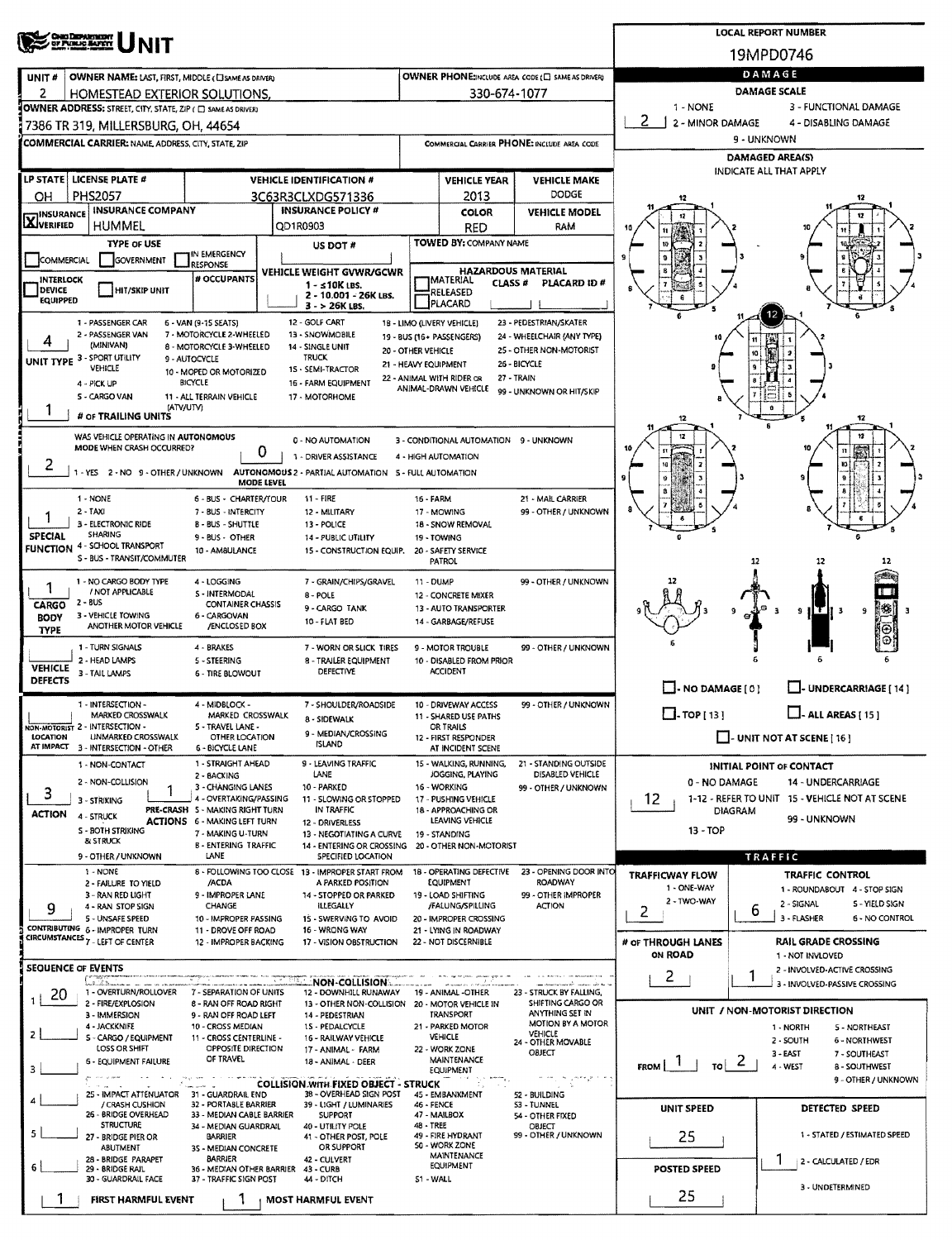|                                   | <b>Chao Department</b><br>Of Public Barrit                                                    |                                                               | <b>LOCAL REPORT NUMBER</b>                                              |                    |                                                         |                                                      |                                                                                    |                                                                  |  |  |  |  |  |
|-----------------------------------|-----------------------------------------------------------------------------------------------|---------------------------------------------------------------|-------------------------------------------------------------------------|--------------------|---------------------------------------------------------|------------------------------------------------------|------------------------------------------------------------------------------------|------------------------------------------------------------------|--|--|--|--|--|
|                                   |                                                                                               |                                                               | 19MPD0746                                                               |                    |                                                         |                                                      |                                                                                    |                                                                  |  |  |  |  |  |
| UNIT #                            | OWNER NAME: LAST, FIRST, MIDDLE (CISAME AS DRIVER)                                            |                                                               | OWNER PHONE:INCLUDE AREA CODE (E) SAME AS DRIVERY                       | DAMAGE             |                                                         |                                                      |                                                                                    |                                                                  |  |  |  |  |  |
| 2                                 | HOMESTEAD EXTERIOR SOLUTIONS.<br>OWNER ADDRESS: STREET, CITY, STATE, ZIP ( C) SAME AS DRIVER) |                                                               |                                                                         | 330-674-1077       | 1 - NONE                                                | DAMAGE SCALE<br>3 - FUNCTIONAL DAMAGE                |                                                                                    |                                                                  |  |  |  |  |  |
|                                   | 7386 TR 319, MILLERSBURG, OH, 44654                                                           |                                                               |                                                                         |                    |                                                         |                                                      | 2<br>2 - MINOR DAMAGE                                                              | 4 - DISABLING DAMAGE                                             |  |  |  |  |  |
|                                   | <b>COMMERCIAL CARRIER: NAME, ADDRESS, CITY, STATE, ZIP</b>                                    |                                                               |                                                                         |                    |                                                         | COMMERCIAL CARRIER PHONE: INCLUDE AREA CODE          |                                                                                    | 9 - UNKNOWN                                                      |  |  |  |  |  |
|                                   |                                                                                               |                                                               |                                                                         |                    |                                                         |                                                      | <b>DAMAGED AREA(S)</b><br>INDICATE ALL THAT APPLY                                  |                                                                  |  |  |  |  |  |
|                                   | LP STATE   LICENSE PLATE #                                                                    |                                                               | <b>VEHICLE IDENTIFICATION #</b>                                         |                    | <b>VEHICLE YEAR</b>                                     | <b>VEHICLE MAKE</b>                                  |                                                                                    |                                                                  |  |  |  |  |  |
| OН<br><b>INSURANCE</b>            | PHS2057<br><b>INSURANCE COMPANY</b>                                                           |                                                               | 3C63R3CLXDG571336<br><b>INSURANCE POLICY #</b>                          |                    | 2013<br><b>COLOR</b>                                    | <b>DODGE</b><br><b>VEHICLE MODEL</b>                 | 12                                                                                 | 12                                                               |  |  |  |  |  |
| <b>X</b> VERIFIED                 | <b>HUMMEL</b>                                                                                 |                                                               | QD1R0903                                                                |                    | RED                                                     | RAM                                                  |                                                                                    |                                                                  |  |  |  |  |  |
|                                   | <b>TYPE OF USE</b>                                                                            | IN EMERGENCY                                                  | US DOT #                                                                |                    | TOWED BY: COMPANY NAME                                  |                                                      |                                                                                    |                                                                  |  |  |  |  |  |
| COMMERCIAL                        | <b>GOVERNMENT</b>                                                                             | <b>RESPONSE</b>                                               | VEHICLE WEIGHT GVWR/GCWR                                                |                    | <b>HAZARDOUS MATERIAL</b>                               |                                                      |                                                                                    |                                                                  |  |  |  |  |  |
| <b>INTERLOCK</b><br>DEVICE        | HIT/SKIP UNIT                                                                                 | # OCCUPANTS                                                   | $1 - 10K$ LBS.<br>2 - 10.001 - 26K LBS.                                 |                    | <b>IMATERIAL</b><br><b>CLASS #</b><br>RELEASED          | PLACARD ID#                                          |                                                                                    |                                                                  |  |  |  |  |  |
| <b>EQUIPPED</b>                   |                                                                                               |                                                               | $3 - 26K$ LBS.                                                          |                    | PLACARD                                                 |                                                      |                                                                                    |                                                                  |  |  |  |  |  |
| 4                                 | 1 - PASSENGER CAR<br>2 - PASSENGER VAN                                                        | 6 - VAN (9-15 SEATS)<br>7 - MOTORCYCLE 2-WHEELED              | 12 - GOLF CART<br>13 - SNOWMOBILE                                       |                    | 1B - LIMO (LIVERY VEHICLE)<br>19 - BUS (16+ PASSENGERS) | 23 - PEDESTRIAN/SKATER<br>24 - WHEELCHAIR (ANY TYPE) |                                                                                    |                                                                  |  |  |  |  |  |
|                                   | (MINIVAN)<br>UNIT TYPE 3 - SPORT UTILITY                                                      | 8 - MOTORCYCLE 3-WHEELED<br>9 - AUTOCYCLE                     | 14 - SINGLE UNIT<br><b>TRUCK</b>                                        | 20 - OTHER VEHICLE |                                                         | 25 - OTHER NON-MOTORIST<br>26 - BICYCLE              |                                                                                    | 10                                                               |  |  |  |  |  |
|                                   | VEHICLE<br>4 - PICK UP                                                                        | 10 - MOPED OR MOTORIZED<br><b>BICYCLE</b>                     | 15 - SEMI-TRACTOR<br>16 - FARM EQUIPMENT                                |                    | 21 - HEAVY EQUIPMENT<br>22 - ANIMAL WITH RIDER OR       | 27 - TRAIN                                           |                                                                                    |                                                                  |  |  |  |  |  |
|                                   | S - CARGO VAN<br>(ATV/UTV)                                                                    | 11 - ALL TERRAIN VEHICLE                                      | 17 - MOTORHOME                                                          |                    | ANIMAL-DRAWN VEHICLE                                    | 99 - UNKNOWN OR HIT/SKIP                             |                                                                                    |                                                                  |  |  |  |  |  |
|                                   | # OF TRAILING UNITS                                                                           |                                                               |                                                                         |                    |                                                         |                                                      | 12                                                                                 | $\theta$<br>12                                                   |  |  |  |  |  |
|                                   | WAS VEHICLE OPERATING IN AUTONOMOUS<br>MODE WHEN CRASH OCCURRED?                              |                                                               | 0 - NO AUTOMATION                                                       |                    | 3 - CONDITIONAL AUTOMATION 9 - UNKNOWN                  |                                                      | 12                                                                                 | 12                                                               |  |  |  |  |  |
| 2                                 |                                                                                               | 0                                                             | 1 - DRIVER ASSISTANCE                                                   |                    | 4 - HIGH AUTOMATION                                     |                                                      |                                                                                    | $^{\dagger}$<br>10                                               |  |  |  |  |  |
|                                   | 1 - YES 2 - NO 9 - OTHER / UNKNOWN                                                            | <b>MODE LEVEL</b>                                             | AUTONOMOUS 2 - PARTIAL AUTOMATION 5 - FULL AUTOMATION                   |                    |                                                         |                                                      | 9                                                                                  | $\pmb{9}$                                                        |  |  |  |  |  |
|                                   | 1 - NONE<br>2 - TAXI                                                                          | 6 - BUS - CHARTER/TOUR<br>7 - BUS - INTERCITY                 | 11 - FIRE<br>12 - MILITARY                                              | 16 FARM            | 17 - MOWING                                             | 21 - MAIL CARRIER<br>99 - OTHER / UNKNOWN            |                                                                                    |                                                                  |  |  |  |  |  |
|                                   | 3 - ELECTRONIC RIDE                                                                           | <b>B-BUS-SHUTTLE</b>                                          | 13 - POLICE                                                             |                    | 18 - SNOW REMOVAL                                       |                                                      |                                                                                    |                                                                  |  |  |  |  |  |
| <b>SPECIAL</b><br><b>FUNCTION</b> | <b>SHARING</b><br>4 - SCHOOL TRANSPORT                                                        | 9 - BUS - OTHER<br>10 - AM8ULANCE                             | 14 - PUBLIC UTILITY<br>15 - CONSTRUCTION EQUIP.                         |                    | 19 - TOWING<br>20 - SAFETY SERVICE                      |                                                      |                                                                                    |                                                                  |  |  |  |  |  |
|                                   | S - BUS - TRANSIT/COMMUTER                                                                    |                                                               |                                                                         |                    | <b>PATROL</b>                                           |                                                      |                                                                                    | 12<br>12<br>12                                                   |  |  |  |  |  |
|                                   | 1 - NO CARGO BODY TYPE<br>/ NOT APPLICABLE                                                    | 4 - LOGGING<br><b>S-INTERMODAL</b>                            | 7 - GRAIN/CHIPS/GRAVEL<br>8 - POLE                                      | 11 - DUMP          | 12 - CONCRETE MIXER                                     | 99 - OTHER / UNKNOWN                                 |                                                                                    |                                                                  |  |  |  |  |  |
| CARGO<br><b>BODY</b>              | $2 - BUS$<br>3 - VEHICLE TOWING                                                               | <b>CONTAINER CHASSIS</b><br>6 - CARGOVAN                      | 9 - CARGO TANK                                                          |                    | 13 - AUTO TRANSPORTER                                   |                                                      |                                                                                    | $ \mathbf{w} $<br>э<br>Е<br>9<br>1 T<br>- 3                      |  |  |  |  |  |
| <b>TYPE</b>                       | ANOTHER MOTOR VEHICLE                                                                         | /ENCLOSED BOX                                                 | 10 - FLAT BED                                                           |                    | 14 - GARBAGE/REFUSE                                     |                                                      |                                                                                    | Θ                                                                |  |  |  |  |  |
|                                   | 1 - TURN SIGNALS<br>2 - HEAD LAMPS                                                            | 4 - BRAKES<br>5 - STEERING                                    | 7 - WORN OR SLICK TIRES<br>8 - TRAILER EQUIPMENT                        |                    | 9 - MOTOR TROUBLE<br>10 - DISABLED FROM PRIOR           | 99 - OTHER / UNKNOWN                                 |                                                                                    |                                                                  |  |  |  |  |  |
| <b>VEHICLE</b><br><b>DEFECTS</b>  | 3 - TAIL LAMPS                                                                                | <b>6 - TIRE BLOWOUT</b>                                       | DEFECTIVE                                                               |                    | <b>ACCIDENT</b>                                         |                                                      |                                                                                    |                                                                  |  |  |  |  |  |
|                                   | 1 - INTERSECTION -                                                                            | 4 - MIDBLOCK -                                                | 7 - SHOULDER/ROADSIDE                                                   |                    | 10 - DRIVEWAY ACCESS                                    | 99 - OTHER / UNKNOWN                                 | $\Box$ - NO DAMAGE [ 0 ]                                                           | U-UNDERCARRIAGE [14]                                             |  |  |  |  |  |
|                                   | MARKED CROSSWALK<br>NON-MOTORIST 2 - INTERSECTION -                                           | MARKED CROSSWALK<br>5 - TRAVEL LANE -                         | 8 - SIDEWALK                                                            |                    | 11 - SHARED USE PATHS<br>OR TRAILS                      |                                                      | $\Box$ -TOP [13]                                                                   | $\Box$ - ALL AREAS [ 15 ]                                        |  |  |  |  |  |
| LOCATION                          | <b>UNMARKED CROSSWALK</b><br>AT IMPACT 3 - INTERSECTION - OTHER                               | OTHER LOCATION<br><b>6 - BICYCLE LANE</b>                     | 9 - MEDIAN/CROSSING<br><b>ISLAND</b>                                    |                    | 12 - FIRST RESPONDER<br>AT INCIDENT SCENE               |                                                      | $\Box$ - UNIT NOT AT SCENE [16]                                                    |                                                                  |  |  |  |  |  |
|                                   | 1 - NON-CONTACT                                                                               | 1 - STRAIGHT AHEAD                                            | 9 - LEAVING TRAFFIC                                                     |                    | 15 - WALKING, RUNNING,                                  | 21 - STANDING OUTSIDE                                |                                                                                    | INITIAL POINT OF CONTACT                                         |  |  |  |  |  |
| 3                                 | 2 - NON-COLLISION                                                                             | 2 - BACKING<br>3 - CHANGING LANES                             | LANE<br>10 - PARKED                                                     |                    | JOGGING, PLAYING<br>16 - WORKING                        | DISABLED VEHICLE<br>99 - OTHER / UNKNOWN             | 0 - NO DAMAGE                                                                      | 14 - UNDERCARRIAGE                                               |  |  |  |  |  |
| <b>ACTION</b>                     | 3 - STRIKING<br>4 - STRUCK                                                                    | 4 - OVERTAKING/PASSING<br>PRE-CRASH 5 - MAKING RIGHT TURN     | 11 - SLOWING OR STOPPED<br>IN TRAFFIC                                   |                    | 17 - PUSHING VEHICLE<br>18 - APPROACHING OR             |                                                      | 12<br><b>DIAGRAM</b>                                                               | 1-12 - REFER TO UNIT 15 - VEHICLE NOT AT SCENE                   |  |  |  |  |  |
|                                   | S - BOTH STRIKING                                                                             | <b>ACTIONS 6 - MAKING LEFT TURN</b><br>7 - MAKING U-TURN      | 12 - DRIVERLESS<br>13 - NEGOTIATING A CURVE                             |                    | LEAVING VEHICLE<br>19 - STANDING                        |                                                      | 13 - TOP                                                                           | 99 - UNKNOWN                                                     |  |  |  |  |  |
|                                   | <b><i>BI STRUCK</i></b><br>9 - OTHER / UNKNOWN                                                | <b>B - ENTERING TRAFFIC</b><br>LANE                           | 14 - ENTERING OR CROSSING<br>SPECIFIED LOCATION                         |                    | 20 - OTHER NON-MOTORIST                                 |                                                      |                                                                                    | TRAFFIC                                                          |  |  |  |  |  |
|                                   | 1 - NONE                                                                                      |                                                               | 8 - FOLLOWING TOO CLOSE 13 - IMPROPER START FROM                        |                    | 18 - OPERATING DEFECTIVE<br>EQUIPMENT                   | 23 - OPENING DOOR INTO<br><b>ROADWAY</b>             | <b>TRAFFICWAY FLOW</b>                                                             | TRAFFIC CONTROL                                                  |  |  |  |  |  |
|                                   | 2 - FAILURE TO YIELD<br>3 - RAN RED LIGHT                                                     | /ACDA<br>9 - IMPROPER LANE                                    | A PARKED POSITION<br>14 - STOPPED OR PARKED                             |                    | 19 - LOAD SHIFTING                                      | 99 - OTHER IMPROPER                                  | 1 - ONE-WAY<br>2 - TWO-WAY                                                         | 1 - ROUNDABOUT 4 - STOP SIGN<br>5 - YIELD SIGN                   |  |  |  |  |  |
| 9                                 | 4 - RAN STOP SIGN<br>5 - UNSAFE SPEED                                                         | CHANGE<br>10 - IMPROPER PASSING                               | <b>ILLEGALLY</b><br>15 - SWERVING TO AVOID                              |                    | /FALUNG/SPILLING<br>20 - IMPROPER CROSSING              | <b>ACTION</b>                                        | 2                                                                                  | 2 - SIGNAL<br>b<br>3 - FLASHER<br><b>6 - NO CONTROL</b>          |  |  |  |  |  |
|                                   | CONTRIBUTING 6 - IMPROPER TURN<br>CIRCUMSTANCES 7 - LEFT OF CENTER                            | 11 - DROVE OFF ROAD<br>12 - IMPROPER BACKING                  | 16 - WRONG WAY<br>17 - VISION OBSTRUCTION                               |                    | 21 - LYING IN ROADWAY<br>22 - NOT DISCERNIBLE           |                                                      | # OF THROUGH LANES                                                                 | <b>RAIL GRADE CROSSING</b>                                       |  |  |  |  |  |
|                                   |                                                                                               |                                                               |                                                                         |                    |                                                         |                                                      | <b>ON ROAD</b>                                                                     | 1 - NOT INVLOVED                                                 |  |  |  |  |  |
|                                   | <b>SEQUENCE OF EVENTS</b><br><u> Latin II</u>                                                 |                                                               | :NON-COLLISION:                                                         |                    |                                                         |                                                      | 2                                                                                  | 2 - INVOLVED-ACTIVE CROSSING<br>3 - INVOLVED-PASSIVE CROSSING    |  |  |  |  |  |
| 20                                | 1 - OVERTURN/ROLLOVER<br>2 - FIRE/EXPLOSION                                                   | 7 - SEPARATION OF UNITS<br>8 - RAN OFF ROAD RIGHT             | 12 - DOWNHILL RUNAWAY<br>13 - OTHER NON-COLLISION 20 - MOTOR VEHICLE IN |                    | 19 - ANIMAL -OTHER                                      | 23 - STRUCK BY FALLING,<br>SHIFTING CARGO OR         |                                                                                    | UNIT / NON-MOTORIST DIRECTION                                    |  |  |  |  |  |
|                                   | 3 - IMMERSION<br>4 - JACKKNIFE                                                                | 9 - RAN OFF ROAD LEFT<br>10 - CROSS MEDIAN                    | 14 - PEDESTRIAN<br>15 - PEDALCYCLE                                      |                    | <b>TRANSPORT</b><br>21 - PARKED MOTOR                   | ANYTHING SET IN<br>MOTION BY A MOTOR                 |                                                                                    | 1 - NORTH<br>5 - NORTHEAST                                       |  |  |  |  |  |
| 2                                 | S - CARGO / EQUIPMENT<br>LOSS OR SHIFT                                                        | 11 - CROSS CENTERLINE -<br>OPPOSITE DIRECTION                 | 16 - RAILWAY VEHICLE<br>17 - ANIMAL - FARM                              |                    | VEHICLE<br>22 - WORK ZONE                               | VEHICLE<br>24 - OTHER MOVABLE<br>OBJECT              |                                                                                    | 2 - SOUTH<br><b>6 - NORTHWEST</b><br>$3 - EAST$<br>7 - SOUTHEAST |  |  |  |  |  |
| з                                 | <b>6 - EQUIPMENT FAILURE</b>                                                                  | OF TRAVEL                                                     | 18 - ANIMAL - DEER                                                      |                    | <b>MAINTENANCE</b><br>EQUIPMENT                         |                                                      | FROM $\begin{array}{ c c c c c }\n\hline\nI & \hline\nI & \hline\nI & \end{array}$ | 4 - WEST<br>8 - SOUTHWEST                                        |  |  |  |  |  |
|                                   | 25 - IMPACT ATTENUATOR 31 - GUARDRAIL END                                                     |                                                               | <b>COLLISION WITH FIXED OBJECT - STRUCK</b><br>38 - OVERHEAD SIGN POST  |                    | 45 - EMBANKMENT                                         | 52 - BUILDING                                        |                                                                                    | 9 - OTHER / UNKNOWN                                              |  |  |  |  |  |
|                                   | / CRASH CUSHION<br>26 - BRIDGE OVERHEAD                                                       | 32 - PORTABLE BARRIER<br>33 - MEDIAN CABLE BARRIER            | 39 - LIGHT / LUMINARIES<br><b>SUPPORT</b>                               | 46 - FENCE         | 47 - MAILBOX                                            | <b>S3 - TUNNEL</b><br>54 - OTHER FIXED               | UNIT SPEED                                                                         | DETECTED SPEED                                                   |  |  |  |  |  |
| 5                                 | <b>STRUCTURE</b><br>27 - BRIDGE PIER OR                                                       | 34 - MEDIAN GUARDRAIL<br>BARRIER                              | 40 - UTILITY POLE<br>41 - OTHER POST, POLE                              |                    |                                                         | OBJECT<br>99 - OTHER / UNKNOWN                       | 25                                                                                 | 1 - STATED / ESTIMATED SPEED                                     |  |  |  |  |  |
|                                   | ABUTMENT<br>28 - BRIDGE PARAPET                                                               | 35 - MEDIAN CONCRETE<br><b>BARRIER</b>                        | OR SUPPORT<br>42 - CULVERT                                              |                    | 49 - FIRE HYDRANT<br>50 - WORK ZONE<br>MAINTENANCE      |                                                      |                                                                                    | T                                                                |  |  |  |  |  |
| 6                                 | 29 - BRIDGE RAIL<br>30 - GUARDRAIL FACE                                                       | 36 - MEDIAN OTHER BARRIER 43 - CURB<br>37 - TRAFFIC SIGN POST | 44 - DITCH                                                              | S1 - WALL          | EQUIPMENT                                               |                                                      | <b>POSTED SPEED</b>                                                                | 2 - CALCULATED / EDR                                             |  |  |  |  |  |
|                                   | FIRST HARMFUL EVENT                                                                           |                                                               | <b>MOST HARMFUL EVENT</b>                                               |                    |                                                         |                                                      | 25                                                                                 | 3 - UNDETERMINED                                                 |  |  |  |  |  |
|                                   |                                                                                               |                                                               |                                                                         |                    |                                                         |                                                      |                                                                                    |                                                                  |  |  |  |  |  |